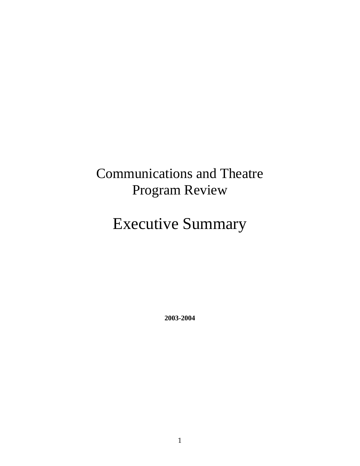# Communications and Theatre Program Review

# Executive Summary

**2003-2004**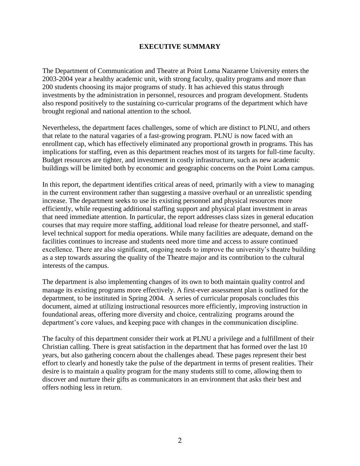# **EXECUTIVE SUMMARY**

The Department of Communication and Theatre at Point Loma Nazarene University enters the 2003-2004 year a healthy academic unit, with strong faculty, quality programs and more than 200 students choosing its major programs of study. It has achieved this status through investments by the administration in personnel, resources and program development. Students also respond positively to the sustaining co-curricular programs of the department which have brought regional and national attention to the school.

Nevertheless, the department faces challenges, some of which are distinct to PLNU, and others that relate to the natural vagaries of a fast-growing program. PLNU is now faced with an enrollment cap, which has effectively eliminated any proportional growth in programs. This has implications for staffing, even as this department reaches most of its targets for full-time faculty. Budget resources are tighter, and investment in costly infrastructure, such as new academic buildings will be limited both by economic and geographic concerns on the Point Loma campus.

In this report, the department identifies critical areas of need, primarily with a view to managing in the current environment rather than suggesting a massive overhaul or an unrealistic spending increase. The department seeks to use its existing personnel and physical resources more efficiently, while requesting additional staffing support and physical plant investment in areas that need immediate attention. In particular, the report addresses class sizes in general education courses that may require more staffing, additional load release for theatre personnel, and stafflevel technical support for media operations. While many facilities are adequate, demand on the facilities continues to increase and students need more time and access to assure continued excellence. There are also significant, ongoing needs to improve the university's theatre building as a step towards assuring the quality of the Theatre major and its contribution to the cultural interests of the campus.

The department is also implementing changes of its own to both maintain quality control and manage its existing programs more effectively. A first-ever assessment plan is outlined for the department, to be instituted in Spring 2004. A series of curricular proposals concludes this document, aimed at utilizing instructional resources more efficiently, improving instruction in foundational areas, offering more diversity and choice, centralizing programs around the department's core values, and keeping pace with changes in the communication discipline.

The faculty of this department consider their work at PLNU a privilege and a fulfillment of their Christian calling. There is great satisfaction in the department that has formed over the last 10 years, but also gathering concern about the challenges ahead. These pages represent their best effort to clearly and honestly take the pulse of the department in terms of present realities. Their desire is to maintain a quality program for the many students still to come, allowing them to discover and nurture their gifts as communicators in an environment that asks their best and offers nothing less in return.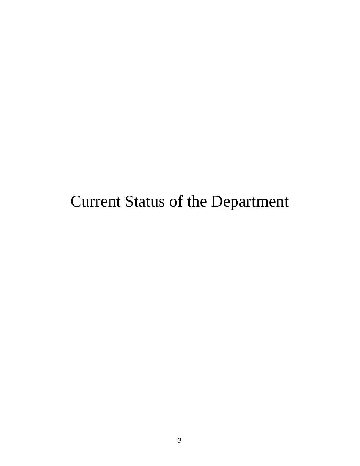# Current Status of the Department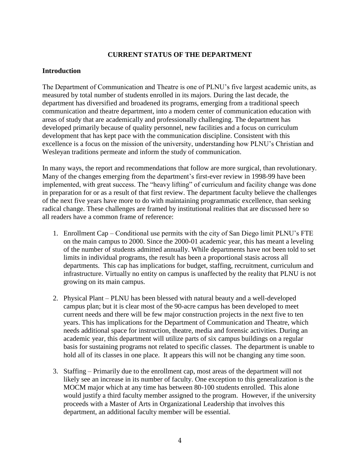# **CURRENT STATUS OF THE DEPARTMENT**

#### **Introduction**

The Department of Communication and Theatre is one of PLNU's five largest academic units, as measured by total number of students enrolled in its majors. During the last decade, the department has diversified and broadened its programs, emerging from a traditional speech communication and theatre department, into a modern center of communication education with areas of study that are academically and professionally challenging. The department has developed primarily because of quality personnel, new facilities and a focus on curriculum development that has kept pace with the communication discipline. Consistent with this excellence is a focus on the mission of the university, understanding how PLNU's Christian and Wesleyan traditions permeate and inform the study of communication.

In many ways, the report and recommendations that follow are more surgical, than revolutionary. Many of the changes emerging from the department's first-ever review in 1998-99 have been implemented, with great success. The "heavy lifting" of curriculum and facility change was done in preparation for or as a result of that first review. The department faculty believe the challenges of the next five years have more to do with maintaining programmatic excellence, than seeking radical change. These challenges are framed by institutional realities that are discussed here so all readers have a common frame of reference:

- 1. Enrollment Cap Conditional use permits with the city of San Diego limit PLNU's FTE on the main campus to 2000. Since the 2000-01 academic year, this has meant a leveling of the number of students admitted annually. While departments have not been told to set limits in individual programs, the result has been a proportional stasis across all departments. This cap has implications for budget, staffing, recruitment, curriculum and infrastructure. Virtually no entity on campus is unaffected by the reality that PLNU is not growing on its main campus.
- 2. Physical Plant PLNU has been blessed with natural beauty and a well-developed campus plan; but it is clear most of the 90-acre campus has been developed to meet current needs and there will be few major construction projects in the next five to ten years. This has implications for the Department of Communication and Theatre, which needs additional space for instruction, theatre, media and forensic activities. During an academic year, this department will utilize parts of six campus buildings on a regular basis for sustaining programs not related to specific classes. The department is unable to hold all of its classes in one place. It appears this will not be changing any time soon.
- 3. Staffing Primarily due to the enrollment cap, most areas of the department will not likely see an increase in its number of faculty. One exception to this generalization is the MOCM major which at any time has between 80-100 students enrolled. This alone would justify a third faculty member assigned to the program. However, if the university proceeds with a Master of Arts in Organizational Leadership that involves this department, an additional faculty member will be essential.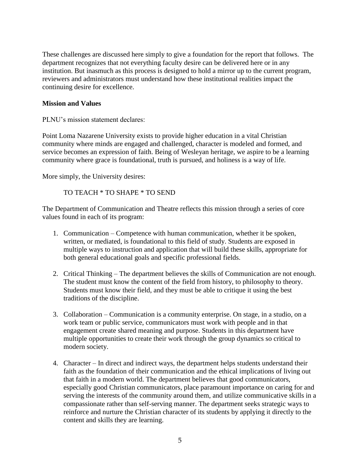These challenges are discussed here simply to give a foundation for the report that follows. The department recognizes that not everything faculty desire can be delivered here or in any institution. But inasmuch as this process is designed to hold a mirror up to the current program, reviewers and administrators must understand how these institutional realities impact the continuing desire for excellence.

### **Mission and Values**

PLNU's mission statement declares:

Point Loma Nazarene University exists to provide higher education in a vital Christian community where minds are engaged and challenged, character is modeled and formed, and service becomes an expression of faith. Being of Wesleyan heritage, we aspire to be a learning community where grace is foundational, truth is pursued, and holiness is a way of life.

More simply, the University desires:

#### TO TEACH \* TO SHAPE \* TO SEND

The Department of Communication and Theatre reflects this mission through a series of core values found in each of its program:

- 1. Communication Competence with human communication, whether it be spoken, written, or mediated, is foundational to this field of study. Students are exposed in multiple ways to instruction and application that will build these skills, appropriate for both general educational goals and specific professional fields.
- 2. Critical Thinking The department believes the skills of Communication are not enough. The student must know the content of the field from history, to philosophy to theory. Students must know their field, and they must be able to critique it using the best traditions of the discipline.
- 3. Collaboration Communication is a community enterprise. On stage, in a studio, on a work team or public service, communicators must work with people and in that engagement create shared meaning and purpose. Students in this department have multiple opportunities to create their work through the group dynamics so critical to modern society.
- 4. Character In direct and indirect ways, the department helps students understand their faith as the foundation of their communication and the ethical implications of living out that faith in a modern world. The department believes that good communicators, especially good Christian communicators, place paramount importance on caring for and serving the interests of the community around them, and utilize communicative skills in a compassionate rather than self-serving manner. The department seeks strategic ways to reinforce and nurture the Christian character of its students by applying it directly to the content and skills they are learning.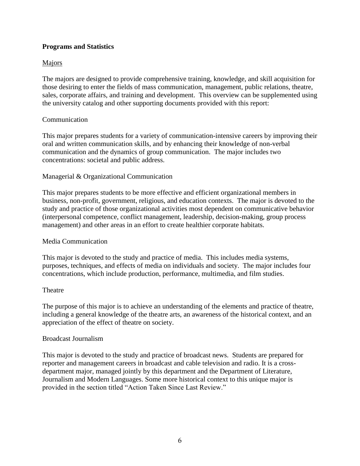# **Programs and Statistics**

### Majors

The majors are designed to provide comprehensive training, knowledge, and skill acquisition for those desiring to enter the fields of mass communication, management, public relations, theatre, sales, corporate affairs, and training and development. This overview can be supplemented using the university catalog and other supporting documents provided with this report:

#### **Communication**

This major prepares students for a variety of communication-intensive careers by improving their oral and written communication skills, and by enhancing their knowledge of non-verbal communication and the dynamics of group communication. The major includes two concentrations: societal and public address.

### Managerial & Organizational Communication

This major prepares students to be more effective and efficient organizational members in business, non-profit, government, religious, and education contexts. The major is devoted to the study and practice of those organizational activities most dependent on communicative behavior (interpersonal competence, conflict management, leadership, decision-making, group process management) and other areas in an effort to create healthier corporate habitats.

#### Media Communication

This major is devoted to the study and practice of media. This includes media systems, purposes, techniques, and effects of media on individuals and society. The major includes four concentrations, which include production, performance, multimedia, and film studies.

#### **Theatre**

The purpose of this major is to achieve an understanding of the elements and practice of theatre, including a general knowledge of the theatre arts, an awareness of the historical context, and an appreciation of the effect of theatre on society.

#### Broadcast Journalism

This major is devoted to the study and practice of broadcast news. Students are prepared for reporter and management careers in broadcast and cable television and radio. It is a crossdepartment major, managed jointly by this department and the Department of Literature, Journalism and Modern Languages. Some more historical context to this unique major is provided in the section titled "Action Taken Since Last Review."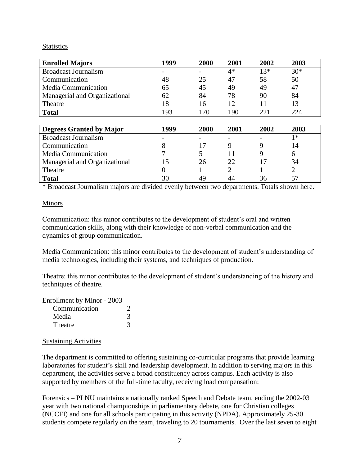#### **Statistics**

| <b>Enrolled Majors</b>          | 1999 | 2000 | 2001 | 2002  | 2003  |
|---------------------------------|------|------|------|-------|-------|
| <b>Broadcast Journalism</b>     |      |      | $4*$ | $13*$ | $30*$ |
| Communication                   | 48   | 25   | 47   | 58    | 50    |
| <b>Media Communication</b>      | 65   | 45   | 49   | 49    | 47    |
| Managerial and Organizational   | 62   | 84   | 78   | 90    | 84    |
| Theatre                         | 18   | 16   | 12   | 11    | 13    |
| <b>Total</b>                    | 193  | 170  | 190  | 221   | 224   |
|                                 |      |      |      |       |       |
| <b>Degrees Granted by Major</b> | 1999 | 2000 | 2001 | 2002  | 2003  |

| Degrees Granted by Major      | 1999 | 2000 | 2001 | 2002 | 2003 |
|-------------------------------|------|------|------|------|------|
| <b>Broadcast Journalism</b>   |      |      |      |      | 1∗   |
| Communication                 |      |      |      |      | 14   |
| <b>Media Communication</b>    |      |      |      |      |      |
| Managerial and Organizational |      | 26   |      |      | 34   |
| Theatre                       |      |      |      |      |      |
| <b>Total</b>                  |      | 49   |      |      |      |

\* Broadcast Journalism majors are divided evenly between two departments. Totals shown here.

#### Minors

Communication: this minor contributes to the development of student's oral and written communication skills, along with their knowledge of non-verbal communication and the dynamics of group communication.

Media Communication: this minor contributes to the development of student's understanding of media technologies, including their systems, and techniques of production.

Theatre: this minor contributes to the development of student's understanding of the history and techniques of theatre.

Enrollment by Minor - 2003

| Communication |  |
|---------------|--|
| Media         |  |
| Theatre       |  |

#### Sustaining Activities

The department is committed to offering sustaining co-curricular programs that provide learning laboratories for student's skill and leadership development. In addition to serving majors in this department, the activities serve a broad constituency across campus. Each activity is also supported by members of the full-time faculty, receiving load compensation:

Forensics – PLNU maintains a nationally ranked Speech and Debate team, ending the 2002-03 year with two national championships in parliamentary debate, one for Christian colleges (NCCFI) and one for all schools participating in this activity (NPDA). Approximately 25-30 students compete regularly on the team, traveling to 20 tournaments. Over the last seven to eight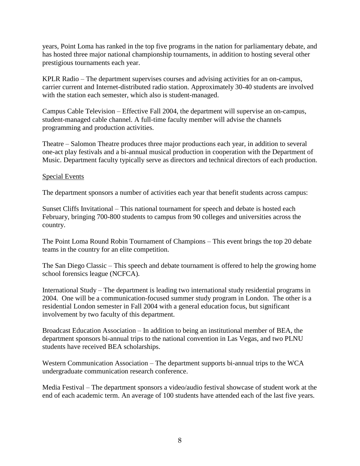years, Point Loma has ranked in the top five programs in the nation for parliamentary debate, and has hosted three major national championship tournaments, in addition to hosting several other prestigious tournaments each year.

KPLR Radio – The department supervises courses and advising activities for an on-campus, carrier current and Internet-distributed radio station. Approximately 30-40 students are involved with the station each semester, which also is student-managed.

Campus Cable Television – Effective Fall 2004, the department will supervise an on-campus, student-managed cable channel. A full-time faculty member will advise the channels programming and production activities.

Theatre – Salomon Theatre produces three major productions each year, in addition to several one-act play festivals and a bi-annual musical production in cooperation with the Department of Music. Department faculty typically serve as directors and technical directors of each production.

### Special Events

The department sponsors a number of activities each year that benefit students across campus:

Sunset Cliffs Invitational – This national tournament for speech and debate is hosted each February, bringing 700-800 students to campus from 90 colleges and universities across the country.

The Point Loma Round Robin Tournament of Champions – This event brings the top 20 debate teams in the country for an elite competition.

The San Diego Classic – This speech and debate tournament is offered to help the growing home school forensics league (NCFCA).

International Study – The department is leading two international study residential programs in 2004. One will be a communication-focused summer study program in London. The other is a residential London semester in Fall 2004 with a general education focus, but significant involvement by two faculty of this department.

Broadcast Education Association – In addition to being an institutional member of BEA, the department sponsors bi-annual trips to the national convention in Las Vegas, and two PLNU students have received BEA scholarships.

Western Communication Association – The department supports bi-annual trips to the WCA undergraduate communication research conference.

Media Festival – The department sponsors a video/audio festival showcase of student work at the end of each academic term. An average of 100 students have attended each of the last five years.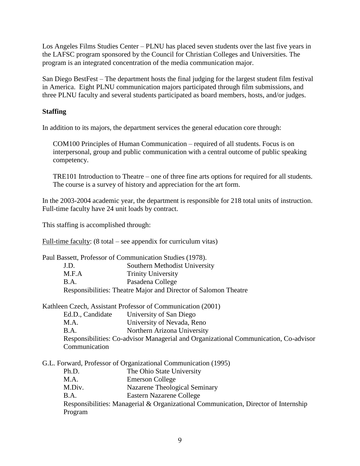Los Angeles Films Studies Center – PLNU has placed seven students over the last five years in the LAFSC program sponsored by the Council for Christian Colleges and Universities. The program is an integrated concentration of the media communication major.

San Diego BestFest – The department hosts the final judging for the largest student film festival in America. Eight PLNU communication majors participated through film submissions, and three PLNU faculty and several students participated as board members, hosts, and/or judges.

# **Staffing**

In addition to its majors, the department services the general education core through:

COM100 Principles of Human Communication – required of all students. Focus is on interpersonal, group and public communication with a central outcome of public speaking competency.

TRE101 Introduction to Theatre – one of three fine arts options for required for all students. The course is a survey of history and appreciation for the art form.

In the 2003-2004 academic year, the department is responsible for 218 total units of instruction. Full-time faculty have 24 unit loads by contract.

This staffing is accomplished through:

Full-time faculty: (8 total – see appendix for curriculum vitas)

| Paul Bassett, Professor of Communication Studies (1978). |                                                                 |  |  |
|----------------------------------------------------------|-----------------------------------------------------------------|--|--|
| J.D.                                                     | Southern Methodist University                                   |  |  |
| M.F.A                                                    | <b>Trinity University</b>                                       |  |  |
| <b>B.A.</b>                                              | Pasadena College                                                |  |  |
|                                                          | Responsibilities: Theatre Major and Director of Salomon Theatre |  |  |

Kathleen Czech, Assistant Professor of Communication (2001)

- Ed.D., Candidate University of San Diego
- M.A. University of Nevada, Reno
- B.A. Northern Arizona University

Responsibilities: Co-advisor Managerial and Organizational Communication, Co-advisor **Communication** 

G.L. Forward, Professor of Organizational Communication (1995)

- Ph.D. The Ohio State University
- M.A. Emerson College
- M.Div. Nazarene Theological Seminary
- B.A. Eastern Nazarene College

Responsibilities: Managerial & Organizational Communication, Director of Internship Program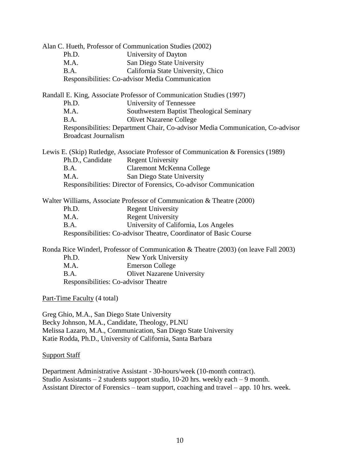| Alan C. Hueth, Professor of Communication Studies (2002)                                                                                                                                                                                                                                                                                                                             |                                                                                      |  |  |
|--------------------------------------------------------------------------------------------------------------------------------------------------------------------------------------------------------------------------------------------------------------------------------------------------------------------------------------------------------------------------------------|--------------------------------------------------------------------------------------|--|--|
| Ph.D.                                                                                                                                                                                                                                                                                                                                                                                | University of Dayton                                                                 |  |  |
| M.A.                                                                                                                                                                                                                                                                                                                                                                                 | San Diego State University                                                           |  |  |
| B.A.                                                                                                                                                                                                                                                                                                                                                                                 | California State University, Chico                                                   |  |  |
|                                                                                                                                                                                                                                                                                                                                                                                      | Responsibilities: Co-advisor Media Communication                                     |  |  |
|                                                                                                                                                                                                                                                                                                                                                                                      | Randall E. King, Associate Professor of Communication Studies (1997)                 |  |  |
| Ph.D.                                                                                                                                                                                                                                                                                                                                                                                | University of Tennessee                                                              |  |  |
| M.A.                                                                                                                                                                                                                                                                                                                                                                                 | Southwestern Baptist Theological Seminary                                            |  |  |
| B.A.                                                                                                                                                                                                                                                                                                                                                                                 | <b>Olivet Nazarene College</b>                                                       |  |  |
|                                                                                                                                                                                                                                                                                                                                                                                      | Responsibilities: Department Chair, Co-advisor Media Communication, Co-advisor       |  |  |
| <b>Broadcast Journalism</b>                                                                                                                                                                                                                                                                                                                                                          |                                                                                      |  |  |
|                                                                                                                                                                                                                                                                                                                                                                                      | Lewis E. (Skip) Rutledge, Associate Professor of Communication & Forensics (1989)    |  |  |
| Ph.D., Candidate                                                                                                                                                                                                                                                                                                                                                                     | <b>Regent University</b>                                                             |  |  |
| B.A.                                                                                                                                                                                                                                                                                                                                                                                 | <b>Claremont McKenna College</b>                                                     |  |  |
| M.A.                                                                                                                                                                                                                                                                                                                                                                                 | San Diego State University                                                           |  |  |
|                                                                                                                                                                                                                                                                                                                                                                                      | Responsibilities: Director of Forensics, Co-advisor Communication                    |  |  |
|                                                                                                                                                                                                                                                                                                                                                                                      | Walter Williams, Associate Professor of Communication & Theatre (2000)               |  |  |
| Ph.D.                                                                                                                                                                                                                                                                                                                                                                                | <b>Regent University</b>                                                             |  |  |
| M.A.                                                                                                                                                                                                                                                                                                                                                                                 | <b>Regent University</b>                                                             |  |  |
| B.A.                                                                                                                                                                                                                                                                                                                                                                                 | University of California, Los Angeles                                                |  |  |
|                                                                                                                                                                                                                                                                                                                                                                                      | Responsibilities: Co-advisor Theatre, Coordinator of Basic Course                    |  |  |
|                                                                                                                                                                                                                                                                                                                                                                                      | Ronda Rice Winderl, Professor of Communication & Theatre (2003) (on leave Fall 2003) |  |  |
| Ph.D.                                                                                                                                                                                                                                                                                                                                                                                | New York University                                                                  |  |  |
| M.A.                                                                                                                                                                                                                                                                                                                                                                                 | <b>Emerson College</b>                                                               |  |  |
| B.A.                                                                                                                                                                                                                                                                                                                                                                                 | <b>Olivet Nazarene University</b>                                                    |  |  |
| Responsibilities: Co-advisor Theatre                                                                                                                                                                                                                                                                                                                                                 |                                                                                      |  |  |
| Part-Time Faculty (4 total)                                                                                                                                                                                                                                                                                                                                                          |                                                                                      |  |  |
|                                                                                                                                                                                                                                                                                                                                                                                      |                                                                                      |  |  |
| Greg Ghio, M.A., San Diego State University                                                                                                                                                                                                                                                                                                                                          |                                                                                      |  |  |
| $\overline{1}$ $\overline{1}$ $\overline{1}$ $\overline{1}$ $\overline{1}$ $\overline{1}$ $\overline{1}$ $\overline{1}$ $\overline{1}$ $\overline{1}$ $\overline{1}$ $\overline{1}$ $\overline{1}$ $\overline{1}$ $\overline{1}$ $\overline{1}$ $\overline{1}$ $\overline{1}$ $\overline{1}$ $\overline{1}$ $\overline{1}$ $\overline{1}$ $\overline{1}$ $\overline{1}$ $\overline{$ |                                                                                      |  |  |

Becky Johnson, M.A., Candidate, Theology, PLNU Melissa Lazaro, M.A., Communication, San Diego State University Katie Rodda, Ph.D., University of California, Santa Barbara

## Support Staff

Department Administrative Assistant - 30-hours/week (10-month contract). Studio Assistants – 2 students support studio, 10-20 hrs. weekly each – 9 month. Assistant Director of Forensics – team support, coaching and travel – app. 10 hrs. week.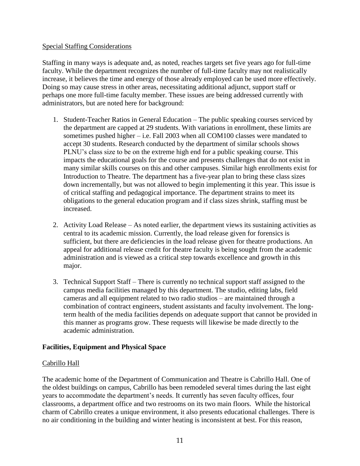#### Special Staffing Considerations

Staffing in many ways is adequate and, as noted, reaches targets set five years ago for full-time faculty. While the department recognizes the number of full-time faculty may not realistically increase, it believes the time and energy of those already employed can be used more effectively. Doing so may cause stress in other areas, necessitating additional adjunct, support staff or perhaps one more full-time faculty member. These issues are being addressed currently with administrators, but are noted here for background:

- 1. Student-Teacher Ratios in General Education The public speaking courses serviced by the department are capped at 29 students. With variations in enrollment, these limits are sometimes pushed higher – i.e. Fall 2003 when all COM100 classes were mandated to accept 30 students. Research conducted by the department of similar schools shows PLNU's class size to be on the extreme high end for a public speaking course. This impacts the educational goals for the course and presents challenges that do not exist in many similar skills courses on this and other campuses. Similar high enrollments exist for Introduction to Theatre. The department has a five-year plan to bring these class sizes down incrementally, but was not allowed to begin implementing it this year. This issue is of critical staffing and pedagogical importance. The department strains to meet its obligations to the general education program and if class sizes shrink, staffing must be increased.
- 2. Activity Load Release As noted earlier, the department views its sustaining activities as central to its academic mission. Currently, the load release given for forensics is sufficient, but there are deficiencies in the load release given for theatre productions. An appeal for additional release credit for theatre faculty is being sought from the academic administration and is viewed as a critical step towards excellence and growth in this major.
- 3. Technical Support Staff There is currently no technical support staff assigned to the campus media facilities managed by this department. The studio, editing labs, field cameras and all equipment related to two radio studios – are maintained through a combination of contract engineers, student assistants and faculty involvement. The longterm health of the media facilities depends on adequate support that cannot be provided in this manner as programs grow. These requests will likewise be made directly to the academic administration.

# **Facilities, Equipment and Physical Space**

#### Cabrillo Hall

The academic home of the Department of Communication and Theatre is Cabrillo Hall. One of the oldest buildings on campus, Cabrillo has been remodeled several times during the last eight years to accommodate the department's needs. It currently has seven faculty offices, four classrooms, a department office and two restrooms on its two main floors. While the historical charm of Cabrillo creates a unique environment, it also presents educational challenges. There is no air conditioning in the building and winter heating is inconsistent at best. For this reason,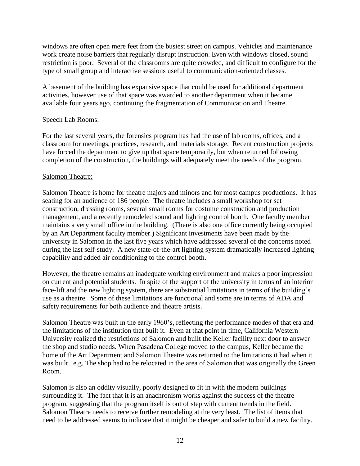windows are often open mere feet from the busiest street on campus. Vehicles and maintenance work create noise barriers that regularly disrupt instruction. Even with windows closed, sound restriction is poor. Several of the classrooms are quite crowded, and difficult to configure for the type of small group and interactive sessions useful to communication-oriented classes.

A basement of the building has expansive space that could be used for additional department activities, however use of that space was awarded to another department when it became available four years ago, continuing the fragmentation of Communication and Theatre.

### Speech Lab Rooms:

For the last several years, the forensics program has had the use of lab rooms, offices, and a classroom for meetings, practices, research, and materials storage. Recent construction projects have forced the department to give up that space temporarily, but when returned following completion of the construction, the buildings will adequately meet the needs of the program.

### Salomon Theatre:

Salomon Theatre is home for theatre majors and minors and for most campus productions. It has seating for an audience of 186 people. The theatre includes a small workshop for set construction, dressing rooms, several small rooms for costume construction and production management, and a recently remodeled sound and lighting control booth. One faculty member maintains a very small office in the building. (There is also one office currently being occupied by an Art Department faculty member.) Significant investments have been made by the university in Salomon in the last five years which have addressed several of the concerns noted during the last self-study. A new state-of-the-art lighting system dramatically increased lighting capability and added air conditioning to the control booth.

However, the theatre remains an inadequate working environment and makes a poor impression on current and potential students. In spite of the support of the university in terms of an interior face-lift and the new lighting system, there are substantial limitations in terms of the building's use as a theatre. Some of these limitations are functional and some are in terms of ADA and safety requirements for both audience and theatre artists.

Salomon Theatre was built in the early 1960's, reflecting the performance modes of that era and the limitations of the institution that built it. Even at that point in time, California Western University realized the restrictions of Salomon and built the Keller facility next door to answer the shop and studio needs. When Pasadena College moved to the campus, Keller became the home of the Art Department and Salomon Theatre was returned to the limitations it had when it was built. e.g. The shop had to be relocated in the area of Salomon that was originally the Green Room.

Salomon is also an oddity visually, poorly designed to fit in with the modern buildings surrounding it. The fact that it is an anachronism works against the success of the theatre program, suggesting that the program itself is out of step with current trends in the field. Salomon Theatre needs to receive further remodeling at the very least. The list of items that need to be addressed seems to indicate that it might be cheaper and safer to build a new facility.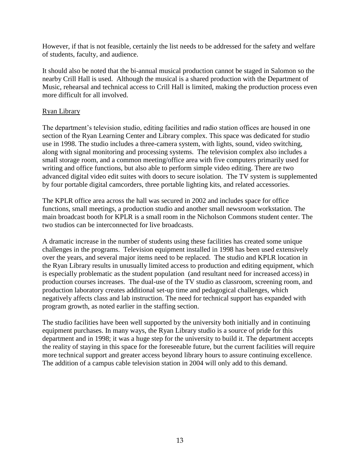However, if that is not feasible, certainly the list needs to be addressed for the safety and welfare of students, faculty, and audience.

It should also be noted that the bi-annual musical production cannot be staged in Salomon so the nearby Crill Hall is used. Although the musical is a shared production with the Department of Music, rehearsal and technical access to Crill Hall is limited, making the production process even more difficult for all involved.

### Ryan Library

The department's television studio, editing facilities and radio station offices are housed in one section of the Ryan Learning Center and Library complex. This space was dedicated for studio use in 1998. The studio includes a three-camera system, with lights, sound, video switching, along with signal monitoring and processing systems. The television complex also includes a small storage room, and a common meeting/office area with five computers primarily used for writing and office functions, but also able to perform simple video editing. There are two advanced digital video edit suites with doors to secure isolation. The TV system is supplemented by four portable digital camcorders, three portable lighting kits, and related accessories.

The KPLR office area across the hall was secured in 2002 and includes space for office functions, small meetings, a production studio and another small newsroom workstation. The main broadcast booth for KPLR is a small room in the Nicholson Commons student center. The two studios can be interconnected for live broadcasts.

A dramatic increase in the number of students using these facilities has created some unique challenges in the programs. Television equipment installed in 1998 has been used extensively over the years, and several major items need to be replaced. The studio and KPLR location in the Ryan Library results in unusually limited access to production and editing equipment, which is especially problematic as the student population (and resultant need for increased access) in production courses increases. The dual-use of the TV studio as classroom, screening room, and production laboratory creates additional set-up time and pedagogical challenges, which negatively affects class and lab instruction. The need for technical support has expanded with program growth, as noted earlier in the staffing section.

The studio facilities have been well supported by the university both initially and in continuing equipment purchases. In many ways, the Ryan Library studio is a source of pride for this department and in 1998; it was a huge step for the university to build it. The department accepts the reality of staying in this space for the foreseeable future, but the current facilities will require more technical support and greater access beyond library hours to assure continuing excellence. The addition of a campus cable television station in 2004 will only add to this demand.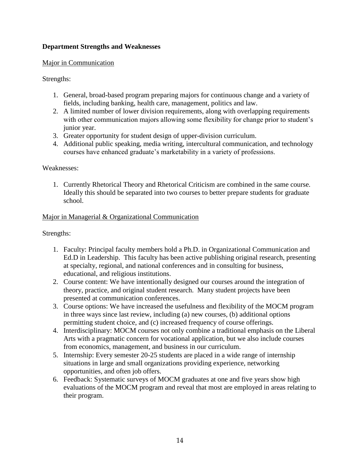# **Department Strengths and Weaknesses**

### Major in Communication

# Strengths:

- 1. General, broad-based program preparing majors for continuous change and a variety of fields, including banking, health care, management, politics and law.
- 2. A limited number of lower division requirements, along with overlapping requirements with other communication majors allowing some flexibility for change prior to student's junior year.
- 3. Greater opportunity for student design of upper-division curriculum.
- 4. Additional public speaking, media writing, intercultural communication, and technology courses have enhanced graduate's marketability in a variety of professions.

### Weaknesses:

1. Currently Rhetorical Theory and Rhetorical Criticism are combined in the same course. Ideally this should be separated into two courses to better prepare students for graduate school.

# Major in Managerial & Organizational Communication

# Strengths:

- 1. Faculty: Principal faculty members hold a Ph.D. in Organizational Communication and Ed.D in Leadership. This faculty has been active publishing original research, presenting at specialty, regional, and national conferences and in consulting for business, educational, and religious institutions.
- 2. Course content: We have intentionally designed our courses around the integration of theory, practice, and original student research. Many student projects have been presented at communication conferences.
- 3. Course options: We have increased the usefulness and flexibility of the MOCM program in three ways since last review, including (a) new courses, (b) additional options permitting student choice, and (c) increased frequency of course offerings.
- 4. Interdisciplinary: MOCM courses not only combine a traditional emphasis on the Liberal Arts with a pragmatic concern for vocational application, but we also include courses from economics, management, and business in our curriculum.
- 5. Internship: Every semester 20-25 students are placed in a wide range of internship situations in large and small organizations providing experience, networking opportunities, and often job offers.
- 6. Feedback: Systematic surveys of MOCM graduates at one and five years show high evaluations of the MOCM program and reveal that most are employed in areas relating to their program.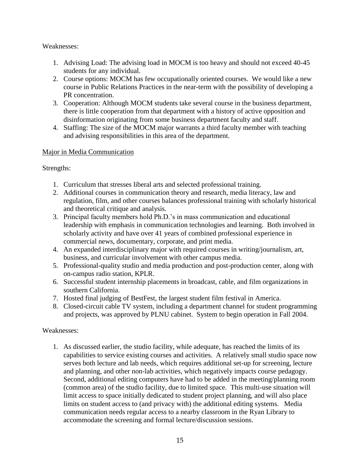Weaknesses:

- 1. Advising Load: The advising load in MOCM is too heavy and should not exceed 40-45 students for any individual.
- 2. Course options: MOCM has few occupationally oriented courses. We would like a new course in Public Relations Practices in the near-term with the possibility of developing a PR concentration.
- 3. Cooperation: Although MOCM students take several course in the business department, there is little cooperation from that department with a history of active opposition and disinformation originating from some business department faculty and staff.
- 4. Staffing: The size of the MOCM major warrants a third faculty member with teaching and advising responsibilities in this area of the department.

# Major in Media Communication

Strengths:

- 1. Curriculum that stresses liberal arts and selected professional training.
- 2. Additional courses in communication theory and research, media literacy, law and regulation, film, and other courses balances professional training with scholarly historical and theoretical critique and analysis.
- 3. Principal faculty members hold Ph.D.'s in mass communication and educational leadership with emphasis in communication technologies and learning. Both involved in scholarly activity and have over 41 years of combined professional experience in commercial news, documentary, corporate, and print media.
- 4. An expanded interdisciplinary major with required courses in writing/journalism, art, business, and curricular involvement with other campus media.
- 5. Professional-quality studio and media production and post-production center, along with on-campus radio station, KPLR.
- 6. Successful student internship placements in broadcast, cable, and film organizations in southern California.
- 7. Hosted final judging of BestFest, the largest student film festival in America.
- 8. Closed-circuit cable TV system, including a department channel for student programming and projects, was approved by PLNU cabinet. System to begin operation in Fall 2004.

# Weaknesses:

1. As discussed earlier, the studio facility, while adequate, has reached the limits of its capabilities to service existing courses and activities. A relatively small studio space now serves both lecture and lab needs, which requires additional set-up for screening, lecture and planning, and other non-lab activities, which negatively impacts course pedagogy. Second, additional editing computers have had to be added in the meeting/planning room (common area) of the studio facility, due to limited space. This multi-use situation will limit access to space initially dedicated to student project planning, and will also place limits on student access to (and privacy with) the additional editing systems. Media communication needs regular access to a nearby classroom in the Ryan Library to accommodate the screening and formal lecture/discussion sessions.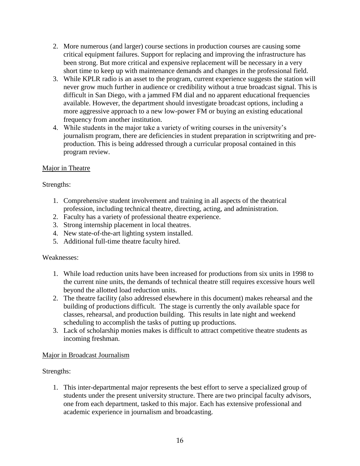- 2. More numerous (and larger) course sections in production courses are causing some critical equipment failures. Support for replacing and improving the infrastructure has been strong. But more critical and expensive replacement will be necessary in a very short time to keep up with maintenance demands and changes in the professional field.
- 3. While KPLR radio is an asset to the program, current experience suggests the station will never grow much further in audience or credibility without a true broadcast signal. This is difficult in San Diego, with a jammed FM dial and no apparent educational frequencies available. However, the department should investigate broadcast options, including a more aggressive approach to a new low-power FM or buying an existing educational frequency from another institution.
- 4. While students in the major take a variety of writing courses in the university's journalism program, there are deficiencies in student preparation in scriptwriting and preproduction. This is being addressed through a curricular proposal contained in this program review.

# Major in Theatre

# Strengths:

- 1. Comprehensive student involvement and training in all aspects of the theatrical profession, including technical theatre, directing, acting, and administration.
- 2. Faculty has a variety of professional theatre experience.
- 3. Strong internship placement in local theatres.
- 4. New state-of-the-art lighting system installed.
- 5. Additional full-time theatre faculty hired.

# Weaknesses:

- 1. While load reduction units have been increased for productions from six units in 1998 to the current nine units, the demands of technical theatre still requires excessive hours well beyond the allotted load reduction units.
- 2. The theatre facility (also addressed elsewhere in this document) makes rehearsal and the building of productions difficult. The stage is currently the only available space for classes, rehearsal, and production building. This results in late night and weekend scheduling to accomplish the tasks of putting up productions.
- 3. Lack of scholarship monies makes is difficult to attract competitive theatre students as incoming freshman.

# Major in Broadcast Journalism

# Strengths:

1. This inter-departmental major represents the best effort to serve a specialized group of students under the present university structure. There are two principal faculty advisors, one from each department, tasked to this major. Each has extensive professional and academic experience in journalism and broadcasting.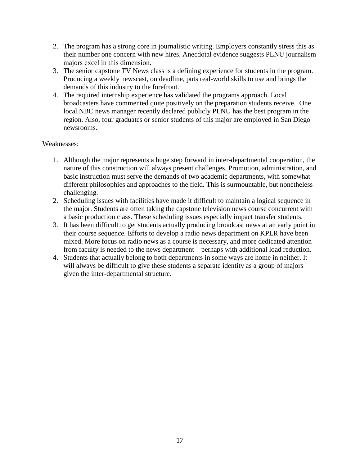- 2. The program has a strong core in journalistic writing. Employers constantly stress this as their number one concern with new hires. Anecdotal evidence suggests PLNU journalism majors excel in this dimension.
- 3. The senior capstone TV News class is a defining experience for students in the program. Producing a weekly newscast, on deadline, puts real-world skills to use and brings the demands of this industry to the forefront.
- 4. The required internship experience has validated the programs approach. Local broadcasters have commented quite positively on the preparation students receive. One local NBC news manager recently declared publicly PLNU has the best program in the region. Also, four graduates or senior students of this major are employed in San Diego newsrooms.

### Weaknesses:

- 1. Although the major represents a huge step forward in inter-departmental cooperation, the nature of this construction will always present challenges. Promotion, administration, and basic instruction must serve the demands of two academic departments, with somewhat different philosophies and approaches to the field. This is surmountable, but nonetheless challenging.
- 2. Scheduling issues with facilities have made it difficult to maintain a logical sequence in the major. Students are often taking the capstone television news course concurrent with a basic production class. These scheduling issues especially impact transfer students.
- 3. It has been difficult to get students actually producing broadcast news at an early point in their course sequence. Efforts to develop a radio news department on KPLR have been mixed. More focus on radio news as a course is necessary, and more dedicated attention from faculty is needed to the news department – perhaps with additional load reduction.
- 4. Students that actually belong to both departments in some ways are home in neither. It will always be difficult to give these students a separate identity as a group of majors given the inter-departmental structure.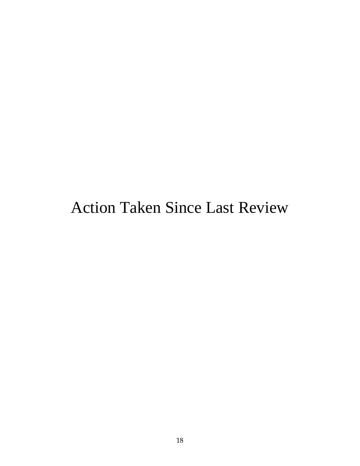# Action Taken Since Last Review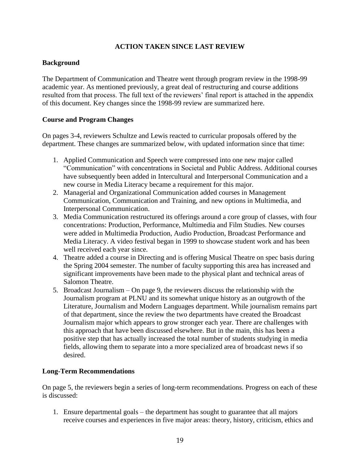# **ACTION TAKEN SINCE LAST REVIEW**

# **Background**

The Department of Communication and Theatre went through program review in the 1998-99 academic year. As mentioned previously, a great deal of restructuring and course additions resulted from that process. The full text of the reviewers' final report is attached in the appendix of this document. Key changes since the 1998-99 review are summarized here.

### **Course and Program Changes**

On pages 3-4, reviewers Schultze and Lewis reacted to curricular proposals offered by the department. These changes are summarized below, with updated information since that time:

- 1. Applied Communication and Speech were compressed into one new major called "Communication" with concentrations in Societal and Public Address. Additional courses have subsequently been added in Intercultural and Interpersonal Communication and a new course in Media Literacy became a requirement for this major.
- 2. Managerial and Organizational Communication added courses in Management Communication, Communication and Training, and new options in Multimedia, and Interpersonal Communication.
- 3. Media Communication restructured its offerings around a core group of classes, with four concentrations: Production, Performance, Multimedia and Film Studies. New courses were added in Multimedia Production, Audio Production, Broadcast Performance and Media Literacy. A video festival began in 1999 to showcase student work and has been well received each year since.
- 4. Theatre added a course in Directing and is offering Musical Theatre on spec basis during the Spring 2004 semester. The number of faculty supporting this area has increased and significant improvements have been made to the physical plant and technical areas of Salomon Theatre.
- 5. Broadcast Journalism On page 9, the reviewers discuss the relationship with the Journalism program at PLNU and its somewhat unique history as an outgrowth of the Literature, Journalism and Modern Languages department. While journalism remains part of that department, since the review the two departments have created the Broadcast Journalism major which appears to grow stronger each year. There are challenges with this approach that have been discussed elsewhere. But in the main, this has been a positive step that has actually increased the total number of students studying in media fields, allowing them to separate into a more specialized area of broadcast news if so desired.

#### **Long-Term Recommendations**

On page 5, the reviewers begin a series of long-term recommendations. Progress on each of these is discussed:

1. Ensure departmental goals – the department has sought to guarantee that all majors receive courses and experiences in five major areas: theory, history, criticism, ethics and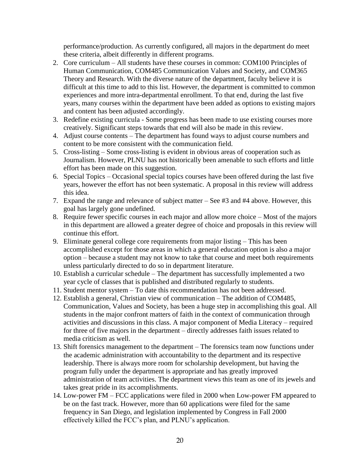performance/production. As currently configured, all majors in the department do meet these criteria, albeit differently in different programs.

- 2. Core curriculum All students have these courses in common: COM100 Principles of Human Communication, COM485 Communication Values and Society, and COM365 Theory and Research. With the diverse nature of the department, faculty believe it is difficult at this time to add to this list. However, the department is committed to common experiences and more intra-departmental enrollment. To that end, during the last five years, many courses within the department have been added as options to existing majors and content has been adjusted accordingly.
- 3. Redefine existing curricula Some progress has been made to use existing courses more creatively. Significant steps towards that end will also be made in this review.
- 4. Adjust course contents The department has found ways to adjust course numbers and content to be more consistent with the communication field.
- 5. Cross-listing Some cross-listing is evident in obvious areas of cooperation such as Journalism. However, PLNU has not historically been amenable to such efforts and little effort has been made on this suggestion.
- 6. Special Topics Occasional special topics courses have been offered during the last five years, however the effort has not been systematic. A proposal in this review will address this idea.
- 7. Expand the range and relevance of subject matter See #3 and #4 above. However, this goal has largely gone undefined.
- 8. Require fewer specific courses in each major and allow more choice Most of the majors in this department are allowed a greater degree of choice and proposals in this review will continue this effort.
- 9. Eliminate general college core requirements from major listing This has been accomplished except for those areas in which a general education option is also a major option – because a student may not know to take that course and meet both requirements unless particularly directed to do so in department literature.
- 10. Establish a curricular schedule The department has successfully implemented a two year cycle of classes that is published and distributed regularly to students.
- 11. Student mentor system To date this recommendation has not been addressed.
- 12. Establish a general, Christian view of communication The addition of COM485, Communication, Values and Society, has been a huge step in accomplishing this goal. All students in the major confront matters of faith in the context of communication through activities and discussions in this class. A major component of Media Literacy – required for three of five majors in the department – directly addresses faith issues related to media criticism as well.
- 13. Shift forensics management to the department The forensics team now functions under the academic administration with accountability to the department and its respective leadership. There is always more room for scholarship development, but having the program fully under the department is appropriate and has greatly improved administration of team activities. The department views this team as one of its jewels and takes great pride in its accomplishments.
- 14. Low-power FM FCC applications were filed in 2000 when Low-power FM appeared to be on the fast track. However, more than 60 applications were filed for the same frequency in San Diego, and legislation implemented by Congress in Fall 2000 effectively killed the FCC's plan, and PLNU's application.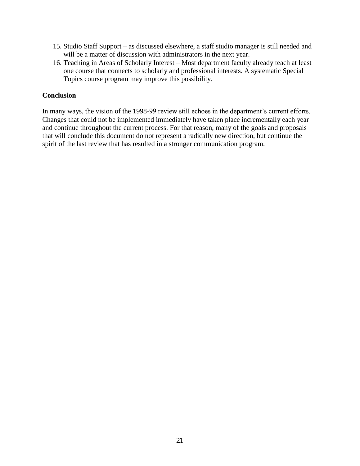- 15. Studio Staff Support as discussed elsewhere, a staff studio manager is still needed and will be a matter of discussion with administrators in the next year.
- 16. Teaching in Areas of Scholarly Interest Most department faculty already teach at least one course that connects to scholarly and professional interests. A systematic Special Topics course program may improve this possibility.

### **Conclusion**

In many ways, the vision of the 1998-99 review still echoes in the department's current efforts. Changes that could not be implemented immediately have taken place incrementally each year and continue throughout the current process. For that reason, many of the goals and proposals that will conclude this document do not represent a radically new direction, but continue the spirit of the last review that has resulted in a stronger communication program.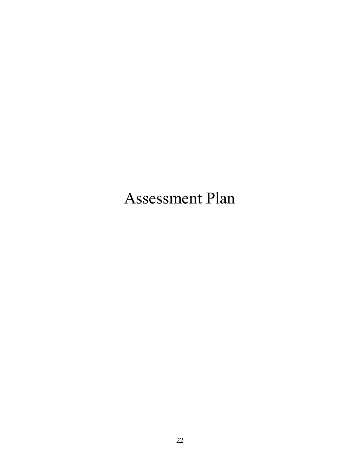# Assessment Plan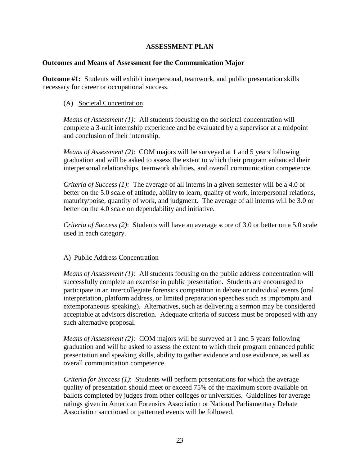# **ASSESSMENT PLAN**

#### **Outcomes and Means of Assessment for the Communication Major**

**Outcome #1:** Students will exhibit interpersonal, teamwork, and public presentation skills necessary for career or occupational success.

### (A). Societal Concentration

*Means of Assessment (1):* All students focusing on the societal concentration will complete a 3-unit internship experience and be evaluated by a supervisor at a midpoint and conclusion of their internship.

*Means of Assessment (2)*: COM majors will be surveyed at 1 and 5 years following graduation and will be asked to assess the extent to which their program enhanced their interpersonal relationships, teamwork abilities, and overall communication competence.

*Criteria of Success (1):* The average of all interns in a given semester will be a 4.0 or better on the 5.0 scale of attitude, ability to learn, quality of work, interpersonal relations, maturity/poise, quantity of work, and judgment. The average of all interns will be 3.0 or better on the 4.0 scale on dependability and initiative.

*Criteria of Success (2)*: Students will have an average score of 3.0 or better on a 5.0 scale used in each category.

#### A) Public Address Concentration

*Means of Assessment (1):* All students focusing on the public address concentration will successfully complete an exercise in public presentation. Students are encouraged to participate in an intercollegiate forensics competition in debate or individual events (oral interpretation, platform address, or limited preparation speeches such as impromptu and extemporaneous speaking). Alternatives, such as delivering a sermon may be considered acceptable at advisors discretion. Adequate criteria of success must be proposed with any such alternative proposal.

*Means of Assessment (2):* COM majors will be surveyed at 1 and 5 years following graduation and will be asked to assess the extent to which their program enhanced public presentation and speaking skills, ability to gather evidence and use evidence, as well as overall communication competence.

*Criteria for Success (1)*: Students will perform presentations for which the average quality of presentation should meet or exceed 75% of the maximum score available on ballots completed by judges from other colleges or universities. Guidelines for average ratings given in American Forensics Association or National Parliamentary Debate Association sanctioned or patterned events will be followed.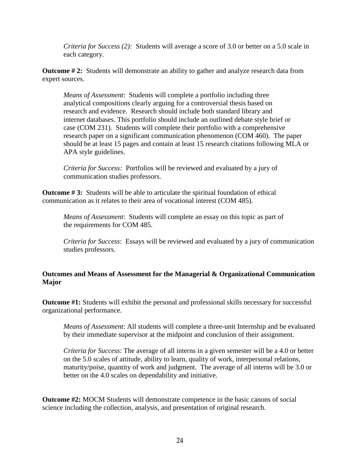*Criteria for Success (2):* Students will average a score of 3.0 or better on a 5.0 scale in each category.

**Outcome # 2:** Students will demonstrate an ability to gather and analyze research data from expert sources.

*Means of Assessment*: Students will complete a portfolio including three analytical compositions clearly arguing for a controversial thesis based on research and evidence. Research should include both standard library and internet databases. This portfolio should include an outlined debate style brief or case (COM 231). Students will complete their portfolio with a comprehensive research paper on a significant communication phenomenon (COM 460). The paper should be at least 15 pages and contain at least 15 research citations following MLA or APA style guidelines.

*Criteria for Success:* Portfolios will be reviewed and evaluated by a jury of communication studies professors.

**Outcome #3:** Students will be able to articulate the spiritual foundation of ethical communication as it relates to their area of vocational interest (COM 485).

*Means of Assessment*: Students will complete an essay on this topic as part of the requirements for COM 485.

*Criteria for Success*: Essays will be reviewed and evaluated by a jury of communication studies professors.

# **Outcomes and Means of Assessment for the Managerial & Organizational Communication Major**

**Outcome #1:** Students will exhibit the personal and professional skills necessary for successful organizational performance.

*Means of Assessment*: All students will complete a three-unit Internship and be evaluated by their immediate supervisor at the midpoint and conclusion of their assignment.

*Criteria for Success*: The average of all interns in a given semester will be a 4.0 or better on the 5.0 scales of attitude, ability to learn, quality of work, interpersonal relations, maturity/poise, quantity of work and judgment. The average of all interns will be 3.0 or better on the 4.0 scales on dependability and initiative.

**Outcome #2:** MOCM Students will demonstrate competence in the basic canons of social science including the collection, analysis, and presentation of original research.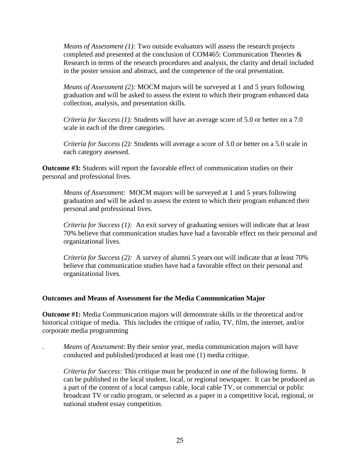*Means of Assessment (1):* Two outside evaluators will assess the research projects completed and presented at the conclusion of COM465: Communication Theories & Research in terms of the research procedures and analysis, the clarity and detail included in the poster session and abstract, and the competence of the oral presentation.

*Means of Assessment (2):* MOCM majors will be surveyed at 1 and 5 years following graduation and will be asked to assess the extent to which their program enhanced data collection, analysis, and presentation skills.

*Criteria for Success (1):* Students will have an average score of 5.0 or better on a 7.0 scale in each of the three categories.

*Criteria for Success (2):* Students will average a score of 3.0 or better on a 5.0 scale in each category assessed.

**Outcome #3:** Students will report the favorable effect of communication studies on their personal and professional lives.

*Means of Assessment:* MOCM majors will be surveyed at 1 and 5 years following graduation and will be asked to assess the extent to which their program enhanced their personal and professional lives.

*Criteria for Success (1):* An exit survey of graduating seniors will indicate that at least 70% believe that communication studies have had a favorable effect on their personal and organizational lives.

*Criteria for Success (2):* A survey of alumni 5 years out will indicate that at least 70% believe that communication studies have had a favorable effect on their personal and organizational lives.

# **Outcomes and Means of Assessment for the Media Communication Major**

**Outcome #1:** Media Communication majors will demonstrate skills in the theoretical and/or historical critique of media. This includes the critique of radio, TV, film, the internet, and/or corporate media programming

. *Means of Assessment*: By their senior year, media communication majors will have conducted and published/produced at least one (1) media critique.

*Criteria for Success:* This critique must be produced in one of the following forms. It can be published in the local student, local, or regional newspaper. It can be produced as a part of the content of a local campus cable, local cable TV, or commercial or public broadcast TV or radio program, or selected as a paper in a competitive local, regional, or national student essay competition.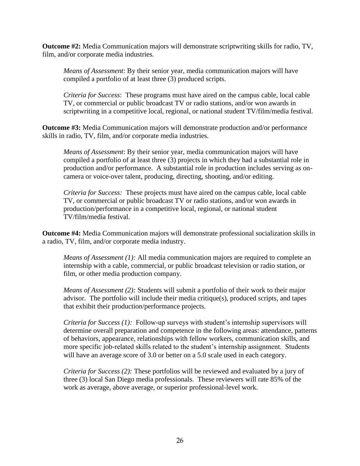**Outcome #2:** Media Communication majors will demonstrate scriptwriting skills for radio, TV, film, and/or corporate media industries.

*Means of Assessment*: By their senior year, media communication majors will have compiled a portfolio of at least three (3) produced scripts.

*Criteria for Success*: These programs must have aired on the campus cable, local cable TV, or commercial or public broadcast TV or radio stations, and/or won awards in scriptwriting in a competitive local, regional, or national student TV/film/media festival.

**Outcome #3:** Media Communication majors will demonstrate production and/or performance skills in radio, TV, film, and/or corporate media industries.

*Means of Assessment*: By their senior year, media communication majors will have compiled a portfolio of at least three (3) projects in which they had a substantial role in production and/or performance. A substantial role in production includes serving as oncamera or voice-over talent, producing, directing, shooting, and/or editing.

*Criteria for Success:* These projects must have aired on the campus cable, local cable TV, or commercial or public broadcast TV or radio stations, and/or won awards in production/performance in a competitive local, regional, or national student TV/film/media festival.

**Outcome #4:** Media Communication majors will demonstrate professional socialization skills in a radio, TV, film, and/or corporate media industry.

*Means of Assessment (1):* All media communication majors are required to complete an internship with a cable, commercial, or public broadcast television or radio station, or film, or other media production company.

*Means of Assessment (2):* Students will submit a portfolio of their work to their major advisor. The portfolio will include their media critique(s), produced scripts, and tapes that exhibit their production/performance projects.

*Criteria for Success (1):* Follow-up surveys with student's internship supervisors will determine overall preparation and competence in the following areas: attendance, patterns of behaviors, appearance, relationships with fellow workers, communication skills, and more specific job-related skills related to the student's internship assignment. Students will have an average score of 3.0 or better on a 5.0 scale used in each category.

*Criteria for Success (2):* These portfolios will be reviewed and evaluated by a jury of three (3) local San Diego media professionals. These reviewers will rate 85% of the work as average, above average, or superior professional-level work.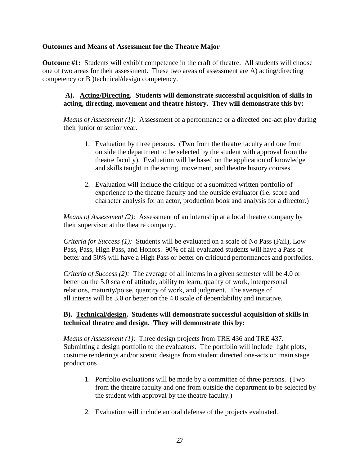## **Outcomes and Means of Assessment for the Theatre Major**

**Outcome #1:** Students will exhibit competence in the craft of theatre. All students will choose one of two areas for their assessment. These two areas of assessment are A) acting/directing competency or B )technical/design competency.

# **A). Acting/Directing. Students will demonstrate successful acquisition of skills in acting, directing, movement and theatre history. They will demonstrate this by:**

*Means of Assessment (1):* Assessment of a performance or a directed one-act play during their junior or senior year.

- 1. Evaluation by three persons. (Two from the theatre faculty and one from outside the department to be selected by the student with approval from the theatre faculty). Evaluation will be based on the application of knowledge and skills taught in the acting, movement, and theatre history courses.
- 2. Evaluation will include the critique of a submitted written portfolio of experience to the theatre faculty and the outside evaluator (i.e. score and character analysis for an actor, production book and analysis for a director.)

*Means of Assessment (2)*: Assessment of an internship at a local theatre company by their supervisor at the theatre company..

*Criteria for Success (1):* Students will be evaluated on a scale of No Pass (Fail), Low Pass, Pass, High Pass, and Honors. 90% of all evaluated students will have a Pass or better and 50% will have a High Pass or better on critiqued performances and portfolios.

*Criteria of Success (2):* The average of all interns in a given semester will be 4.0 or better on the 5.0 scale of attitude, ability to learn, quality of work, interpersonal relations, maturity/poise, quantity of work, and judgment. The average of all interns will be 3.0 or better on the 4.0 scale of dependability and initiative.

# **B). Technical/design. Students will demonstrate successful acquisition of skills in technical theatre and design. They will demonstrate this by:**

*Means of Assessment (1)*: Three design projects from TRE 436 and TRE 437. Submitting a design portfolio to the evaluators. The portfolio will include light plots, costume renderings and/or scenic designs from student directed one-acts or main stage productions

- 1. Portfolio evaluations will be made by a committee of three persons. (Two from the theatre faculty and one from outside the department to be selected by the student with approval by the theatre faculty.)
- 2. Evaluation will include an oral defense of the projects evaluated.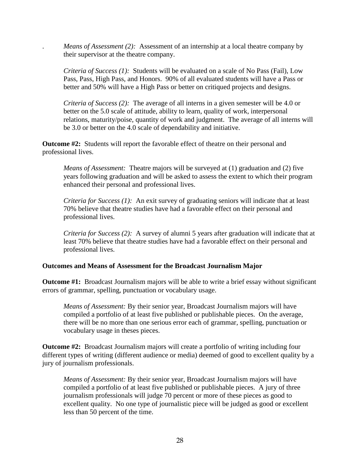*Means of Assessment (2):* Assessment of an internship at a local theatre company by their supervisor at the theatre company.

*Criteria of Success (1):* Students will be evaluated on a scale of No Pass (Fail), Low Pass, Pass, High Pass, and Honors. 90% of all evaluated students will have a Pass or better and 50% will have a High Pass or better on critiqued projects and designs.

*Criteria of Success (2):* The average of all interns in a given semester will be 4.0 or better on the 5.0 scale of attitude, ability to learn, quality of work, interpersonal relations, maturity/poise, quantity of work and judgment. The average of all interns will be 3.0 or better on the 4.0 scale of dependability and initiative.

**Outcome #2:** Students will report the favorable effect of theatre on their personal and professional lives.

*Means of Assessment:* Theatre majors will be surveyed at (1) graduation and (2) five years following graduation and will be asked to assess the extent to which their program enhanced their personal and professional lives.

*Criteria for Success (1):* An exit survey of graduating seniors will indicate that at least 70% believe that theatre studies have had a favorable effect on their personal and professional lives.

*Criteria for Success (2):* A survey of alumni 5 years after graduation will indicate that at least 70% believe that theatre studies have had a favorable effect on their personal and professional lives.

#### **Outcomes and Means of Assessment for the Broadcast Journalism Major**

**Outcome #1:** Broadcast Journalism majors will be able to write a brief essay without significant errors of grammar, spelling, punctuation or vocabulary usage.

*Means of Assessment:* By their senior year, Broadcast Journalism majors will have compiled a portfolio of at least five published or publishable pieces. On the average, there will be no more than one serious error each of grammar, spelling, punctuation or vocabulary usage in theses pieces.

**Outcome #2:** Broadcast Journalism majors will create a portfolio of writing including four different types of writing (different audience or media) deemed of good to excellent quality by a jury of journalism professionals.

*Means of Assessment:* By their senior year, Broadcast Journalism majors will have compiled a portfolio of at least five published or publishable pieces. A jury of three journalism professionals will judge 70 percent or more of these pieces as good to excellent quality. No one type of journalistic piece will be judged as good or excellent less than 50 percent of the time.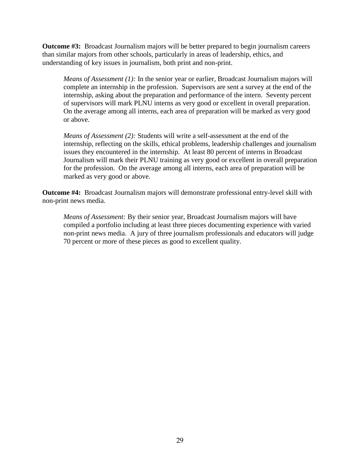**Outcome #3:** Broadcast Journalism majors will be better prepared to begin journalism careers than similar majors from other schools, particularly in areas of leadership, ethics, and understanding of key issues in journalism, both print and non-print.

*Means of Assessment (1):* In the senior year or earlier, Broadcast Journalism majors will complete an internship in the profession. Supervisors are sent a survey at the end of the internship, asking about the preparation and performance of the intern. Seventy percent of supervisors will mark PLNU interns as very good or excellent in overall preparation. On the average among all interns, each area of preparation will be marked as very good or above.

*Means of Assessment (2):* Students will write a self-assessment at the end of the internship, reflecting on the skills, ethical problems, leadership challenges and journalism issues they encountered in the internship. At least 80 percent of interns in Broadcast Journalism will mark their PLNU training as very good or excellent in overall preparation for the profession. On the average among all interns, each area of preparation will be marked as very good or above.

**Outcome #4:** Broadcast Journalism majors will demonstrate professional entry-level skill with non-print news media.

*Means of Assessment:* By their senior year, Broadcast Journalism majors will have compiled a portfolio including at least three pieces documenting experience with varied non-print news media. A jury of three journalism professionals and educators will judge 70 percent or more of these pieces as good to excellent quality.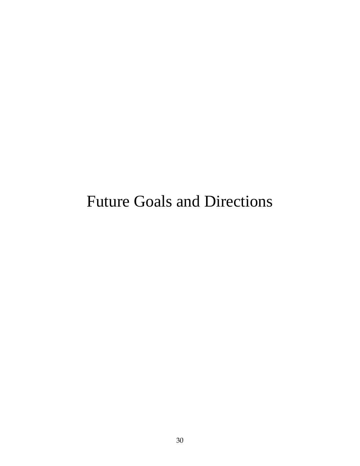# Future Goals and Directions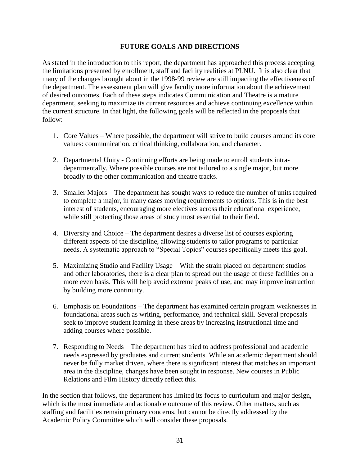## **FUTURE GOALS AND DIRECTIONS**

As stated in the introduction to this report, the department has approached this process accepting the limitations presented by enrollment, staff and facility realities at PLNU. It is also clear that many of the changes brought about in the 1998-99 review are still impacting the effectiveness of the department. The assessment plan will give faculty more information about the achievement of desired outcomes. Each of these steps indicates Communication and Theatre is a mature department, seeking to maximize its current resources and achieve continuing excellence within the current structure. In that light, the following goals will be reflected in the proposals that follow:

- 1. Core Values Where possible, the department will strive to build courses around its core values: communication, critical thinking, collaboration, and character.
- 2. Departmental Unity Continuing efforts are being made to enroll students intradepartmentally. Where possible courses are not tailored to a single major, but more broadly to the other communication and theatre tracks.
- 3. Smaller Majors The department has sought ways to reduce the number of units required to complete a major, in many cases moving requirements to options. This is in the best interest of students, encouraging more electives across their educational experience, while still protecting those areas of study most essential to their field.
- 4. Diversity and Choice The department desires a diverse list of courses exploring different aspects of the discipline, allowing students to tailor programs to particular needs. A systematic approach to "Special Topics" courses specifically meets this goal.
- 5. Maximizing Studio and Facility Usage With the strain placed on department studios and other laboratories, there is a clear plan to spread out the usage of these facilities on a more even basis. This will help avoid extreme peaks of use, and may improve instruction by building more continuity.
- 6. Emphasis on Foundations The department has examined certain program weaknesses in foundational areas such as writing, performance, and technical skill. Several proposals seek to improve student learning in these areas by increasing instructional time and adding courses where possible.
- 7. Responding to Needs The department has tried to address professional and academic needs expressed by graduates and current students. While an academic department should never be fully market driven, where there is significant interest that matches an important area in the discipline, changes have been sought in response. New courses in Public Relations and Film History directly reflect this.

In the section that follows, the department has limited its focus to curriculum and major design, which is the most immediate and actionable outcome of this review. Other matters, such as staffing and facilities remain primary concerns, but cannot be directly addressed by the Academic Policy Committee which will consider these proposals.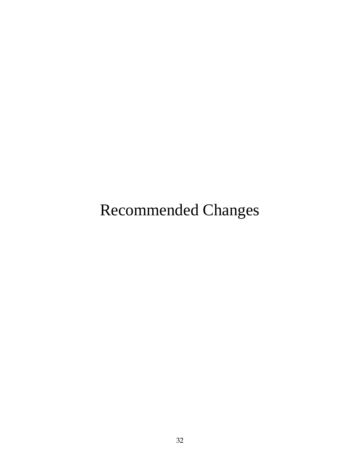Recommended Changes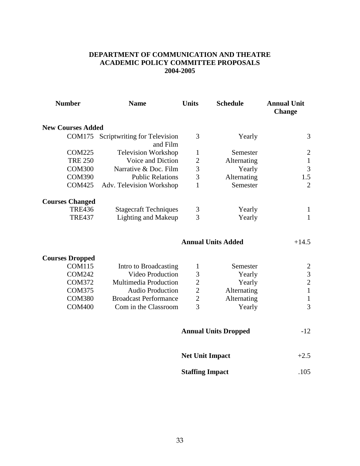# **DEPARTMENT OF COMMUNICATION AND THEATRE ACADEMIC POLICY COMMITTEE PROPOSALS 2004-2005**

| <b>Number</b>            | <b>Name</b>                                     | <b>Units</b>   | <b>Schedule</b>             | <b>Annual Unit</b><br><b>Change</b> |
|--------------------------|-------------------------------------------------|----------------|-----------------------------|-------------------------------------|
| <b>New Courses Added</b> |                                                 |                |                             |                                     |
|                          | COM175 Scriptwriting for Television<br>and Film | 3              | Yearly                      | 3                                   |
| <b>COM225</b>            | <b>Television Workshop</b>                      | $\mathbf{1}$   | Semester                    | $\boldsymbol{2}$                    |
| <b>TRE 250</b>           | Voice and Diction                               | $\overline{2}$ | Alternating                 | $\mathbf{1}$                        |
| <b>COM300</b>            | Narrative & Doc. Film                           | 3              | Yearly                      | $\mathfrak{Z}$                      |
| <b>COM390</b>            | <b>Public Relations</b>                         | 3              | Alternating                 | 1.5                                 |
| <b>COM425</b>            | Adv. Television Workshop                        | 1              | Semester                    | $\overline{2}$                      |
| <b>Courses Changed</b>   |                                                 |                |                             |                                     |
| <b>TRE436</b>            | <b>Stagecraft Techniques</b>                    | 3              | Yearly                      | $\mathbf{1}$                        |
| <b>TRE437</b>            | <b>Lighting and Makeup</b>                      | $\overline{3}$ | Yearly                      | $\mathbf{1}$                        |
|                          |                                                 |                | <b>Annual Units Added</b>   | $+14.5$                             |
| <b>Courses Dropped</b>   |                                                 |                |                             |                                     |
| <b>COM115</b>            | Intro to Broadcasting                           | 1              | Semester                    | $\overline{c}$                      |
| <b>COM242</b>            | Video Production                                | 3              | Yearly                      | $\overline{\mathbf{3}}$             |
| <b>COM372</b>            | Multimedia Production                           | $\overline{2}$ | Yearly                      | $\overline{2}$                      |
| <b>COM375</b>            | <b>Audio Production</b>                         | $\overline{2}$ | Alternating                 | $\mathbf{1}$                        |
| <b>COM380</b>            | <b>Broadcast Performance</b>                    | $\overline{2}$ | Alternating                 | $\mathbf{1}$                        |
| <b>COM400</b>            | Com in the Classroom                            | 3              | Yearly                      | 3                                   |
|                          |                                                 |                | <b>Annual Units Dropped</b> | $-12$                               |
|                          |                                                 |                | <b>Net Unit Impact</b>      | $+2.5$                              |
|                          |                                                 |                | <b>Staffing Impact</b>      | .105                                |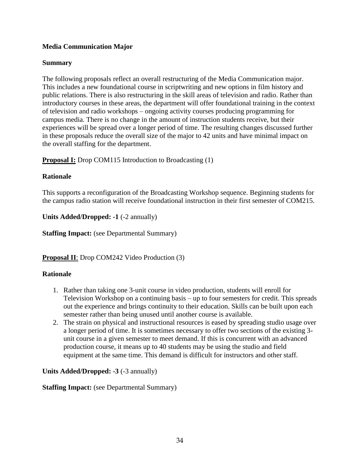# **Media Communication Major**

# **Summary**

The following proposals reflect an overall restructuring of the Media Communication major. This includes a new foundational course in scriptwriting and new options in film history and public relations. There is also restructuring in the skill areas of television and radio. Rather than introductory courses in these areas, the department will offer foundational training in the context of television and radio workshops – ongoing activity courses producing programming for campus media. There is no change in the amount of instruction students receive, but their experiences will be spread over a longer period of time. The resulting changes discussed further in these proposals reduce the overall size of the major to 42 units and have minimal impact on the overall staffing for the department.

**Proposal I:** Drop COM115 Introduction to Broadcasting (1)

# **Rationale**

This supports a reconfiguration of the Broadcasting Workshop sequence. Beginning students for the campus radio station will receive foundational instruction in their first semester of COM215.

**Units Added/Dropped: -1** (-2 annually)

**Staffing Impact:** (see Departmental Summary)

**Proposal II**: Drop COM242 Video Production (3)

# **Rationale**

- 1. Rather than taking one 3-unit course in video production, students will enroll for Television Workshop on a continuing basis – up to four semesters for credit. This spreads out the experience and brings continuity to their education. Skills can be built upon each semester rather than being unused until another course is available.
- 2. The strain on physical and instructional resources is eased by spreading studio usage over a longer period of time. It is sometimes necessary to offer two sections of the existing 3 unit course in a given semester to meet demand. If this is concurrent with an advanced production course, it means up to 40 students may be using the studio and field equipment at the same time. This demand is difficult for instructors and other staff.

# **Units Added/Dropped: -3** (-3 annually)

# **Staffing Impact:** (see Departmental Summary)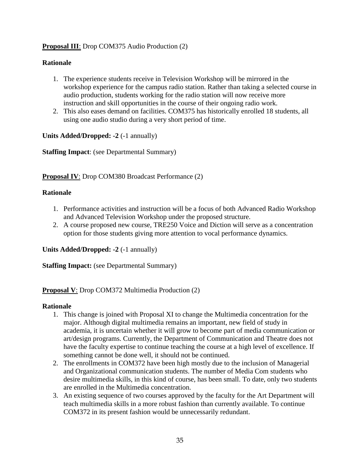# **Proposal III**: Drop COM375 Audio Production (2)

# **Rationale**

- 1. The experience students receive in Television Workshop will be mirrored in the workshop experience for the campus radio station. Rather than taking a selected course in audio production, students working for the radio station will now receive more instruction and skill opportunities in the course of their ongoing radio work.
- 2. This also eases demand on facilities. COM375 has historically enrolled 18 students, all using one audio studio during a very short period of time.

**Units Added/Dropped: -2** (-1 annually)

**Staffing Impact**: (see Departmental Summary)

**Proposal IV**: Drop COM380 Broadcast Performance (2)

### **Rationale**

- 1. Performance activities and instruction will be a focus of both Advanced Radio Workshop and Advanced Television Workshop under the proposed structure.
- 2. A course proposed new course, TRE250 Voice and Diction will serve as a concentration option for those students giving more attention to vocal performance dynamics.

#### **Units Added/Dropped: -2** (-1 annually)

**Staffing Impact:** (see Departmental Summary)

#### **Proposal V**: Drop COM372 Multimedia Production (2)

#### **Rationale**

- 1. This change is joined with Proposal XI to change the Multimedia concentration for the major. Although digital multimedia remains an important, new field of study in academia, it is uncertain whether it will grow to become part of media communication or art/design programs. Currently, the Department of Communication and Theatre does not have the faculty expertise to continue teaching the course at a high level of excellence. If something cannot be done well, it should not be continued.
- 2. The enrollments in COM372 have been high mostly due to the inclusion of Managerial and Organizational communication students. The number of Media Com students who desire multimedia skills, in this kind of course, has been small. To date, only two students are enrolled in the Multimedia concentration.
- 3. An existing sequence of two courses approved by the faculty for the Art Department will teach multimedia skills in a more robust fashion than currently available. To continue COM372 in its present fashion would be unnecessarily redundant.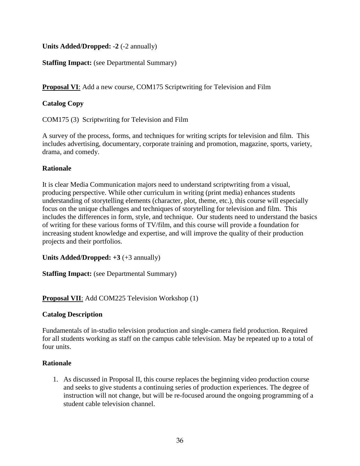**Units Added/Dropped: -2** (-2 annually)

# **Staffing Impact:** (see Departmental Summary)

**Proposal VI**: Add a new course, COM175 Scriptwriting for Television and Film

# **Catalog Copy**

COM175 (3) Scriptwriting for Television and Film

A survey of the process, forms, and techniques for writing scripts for television and film. This includes advertising, documentary, corporate training and promotion, magazine, sports, variety, drama, and comedy.

# **Rationale**

It is clear Media Communication majors need to understand scriptwriting from a visual, producing perspective. While other curriculum in writing (print media) enhances students understanding of storytelling elements (character, plot, theme, etc.), this course will especially focus on the unique challenges and techniques of storytelling for television and film. This includes the differences in form, style, and technique. Our students need to understand the basics of writing for these various forms of TV/film, and this course will provide a foundation for increasing student knowledge and expertise, and will improve the quality of their production projects and their portfolios.

**Units Added/Dropped: +3** (+3 annually)

**Staffing Impact:** (see Departmental Summary)

# **Proposal VII**: Add COM225 Television Workshop (1)

# **Catalog Description**

Fundamentals of in-studio television production and single-camera field production. Required for all students working as staff on the campus cable television. May be repeated up to a total of four units.

# **Rationale**

1. As discussed in Proposal II, this course replaces the beginning video production course and seeks to give students a continuing series of production experiences. The degree of instruction will not change, but will be re-focused around the ongoing programming of a student cable television channel.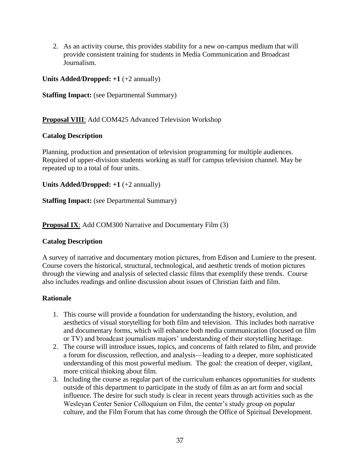2. As an activity course, this provides stability for a new on-campus medium that will provide consistent training for students in Media Communication and Broadcast Journalism.

# **Units Added/Dropped: +1** (+2 annually)

**Staffing Impact:** (see Departmental Summary)

# **Proposal VIII**: Add COM425 Advanced Television Workshop

# **Catalog Description**

Planning, production and presentation of television programming for multiple audiences. Required of upper-division students working as staff for campus television channel. May be repeated up to a total of four units.

**Units Added/Dropped: +1** (+2 annually)

**Staffing Impact:** (see Departmental Summary)

**Proposal IX**: Add COM300 Narrative and Documentary Film (3)

# **Catalog Description**

A survey of narrative and documentary motion pictures, from Edison and Lumiere to the present. Course covers the historical, structural, technological, and aesthetic trends of motion pictures through the viewing and analysis of selected classic films that exemplify these trends. Course also includes readings and online discussion about issues of Christian faith and film.

# **Rationale**

- 1. This course will provide a foundation for understanding the history, evolution, and aesthetics of visual storytelling for both film and television. This includes both narrative and documentary forms, which will enhance both media communication (focused on film or TV) and broadcast journalism majors' understanding of their storytelling heritage.
- 2. The course will introduce issues, topics, and concerns of faith related to film, and provide a forum for discussion, reflection, and analysis—leading to a deeper, more sophisticated understanding of this most powerful medium. The goal: the creation of deeper, vigilant, more critical thinking about film.
- 3. Including the course as regular part of the curriculum enhances opportunities for students outside of this department to participate in the study of film as an art form and social influence. The desire for such study is clear in recent years through activities such as the Wesleyan Center Senior Colloquium on Film, the center's study group on popular culture, and the Film Forum that has come through the Office of Spiritual Development.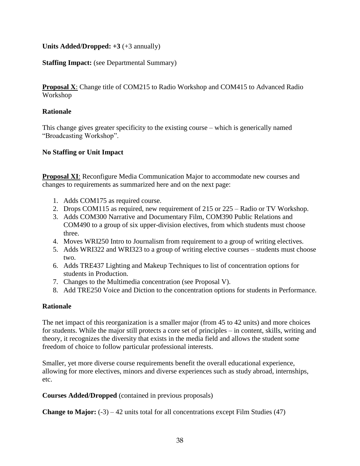# **Units Added/Dropped: +3** (+3 annually)

### **Staffing Impact:** (see Departmental Summary)

**Proposal X**: Change title of COM215 to Radio Workshop and COM415 to Advanced Radio Workshop

### **Rationale**

This change gives greater specificity to the existing course – which is generically named "Broadcasting Workshop".

### **No Staffing or Unit Impact**

**Proposal XI**: Reconfigure Media Communication Major to accommodate new courses and changes to requirements as summarized here and on the next page:

- 1. Adds COM175 as required course.
- 2. Drops COM115 as required, new requirement of 215 or 225 Radio or TV Workshop.
- 3. Adds COM300 Narrative and Documentary Film, COM390 Public Relations and COM490 to a group of six upper-division electives, from which students must choose three.
- 4. Moves WRI250 Intro to Journalism from requirement to a group of writing electives.
- 5. Adds WRI322 and WRI323 to a group of writing elective courses students must choose two.
- 6. Adds TRE437 Lighting and Makeup Techniques to list of concentration options for students in Production.
- 7. Changes to the Multimedia concentration (see Proposal V).
- 8. Add TRE250 Voice and Diction to the concentration options for students in Performance.

#### **Rationale**

The net impact of this reorganization is a smaller major (from 45 to 42 units) and more choices for students. While the major still protects a core set of principles – in content, skills, writing and theory, it recognizes the diversity that exists in the media field and allows the student some freedom of choice to follow particular professional interests.

Smaller, yet more diverse course requirements benefit the overall educational experience, allowing for more electives, minors and diverse experiences such as study abroad, internships, etc.

**Courses Added/Dropped** (contained in previous proposals)

**Change to Major:**  $(-3) - 42$  units total for all concentrations except Film Studies  $(47)$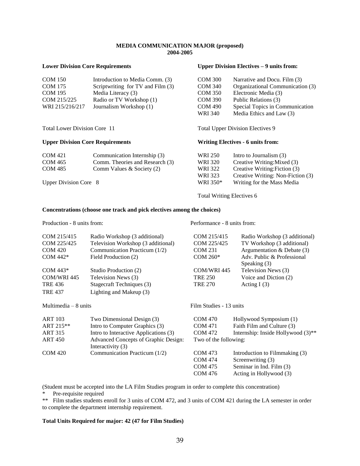#### **MEDIA COMMUNICATION MAJOR (proposed) 2004-2005**

#### **Lower Division Core Requirements Upper Division Electives – 9 units from:**

| <b>COM 150</b>  | Introduction to Media Comm. (3)   | <b>COM 300</b> | Narrative and Docu. Film (3)     |
|-----------------|-----------------------------------|----------------|----------------------------------|
| <b>COM 175</b>  | Scriptwriting for TV and Film (3) | <b>COM 340</b> | Organizational Communication (3) |
| <b>COM 195</b>  | Media Literacy (3)                | <b>COM 350</b> | Electronic Media (3)             |
| COM 215/225     | Radio or TV Workshop (1)          | <b>COM 390</b> | Public Relations (3)             |
| WRI 215/216/217 | Journalism Workshop (1)           | <b>COM 490</b> | Special Topics in Communication  |
|                 |                                   | WRI 340        | Media Ethics and Law (3)         |

Total Lower Division Core 11 Total Upper Division Electives 9

#### **Upper Division Core Requirements Writing Electives - 6 units from:**

COM 421 Communication Internship (3) WRI 250 Intro to Journalism (3) COM 465 Comm. Theories and Research (3) WRI 320 Creative Writing: Mixed (3)<br>COM 485 Comm Values & Society (2) WRI 322 Creative Writing: Fiction (3)  $COM 485$  Comm Values & Society (2) WRI 322 WRI 323 Creative Writing: Non-Fiction (3) Upper Division Core 8 WRI 350\* WRI 350\* Writing for the Mass Media

Total Writing Electives 6

#### **Concentrations (choose one track and pick electives among the choices)**

Production - 8 units from: Performance - 8 units from:

COM 476 Acting in Hollywood (3)

| COM 215/415           | Radio Workshop (3 additional)                             | COM 215/415             | Radio Workshop (3 additional)      |
|-----------------------|-----------------------------------------------------------|-------------------------|------------------------------------|
| COM 225/425           | Television Workshop (3 additional)                        | COM 225/425             | TV Workshop (3 additional)         |
| <b>COM 420</b>        | Communication Practicum (1/2)                             | <b>COM 231</b>          | Argumentation & Debate $(3)$       |
| COM 442*              | Field Production (2)                                      | COM 260*                | Adv. Public & Professional         |
|                       |                                                           |                         | Speaking (3)                       |
| COM $443*$            | Studio Production (2)                                     | COM/WRI 445             | Television News (3)                |
| COM/WRI 445           | Television News (3)                                       | <b>TRE 250</b>          | Voice and Diction (2)              |
| <b>TRE 436</b>        | Stagecraft Techniques (3)                                 | <b>TRE 270</b>          | Acting $I(3)$                      |
| <b>TRE 437</b>        | Lighting and Makeup (3)                                   |                         |                                    |
| Multimedia $-8$ units |                                                           | Film Studies - 13 units |                                    |
| <b>ART 103</b>        | Two Dimensional Design (3)                                | <b>COM 470</b>          | Hollywood Symposium (1)            |
| ART 215**             | Intro to Computer Graphics (3)                            | <b>COM 471</b>          | Faith Film and Culture (3)         |
| <b>ART 315</b>        | Intro to Interactive Applications (3)                     | <b>COM 472</b>          | Internship: Inside Hollywood (3)** |
| ART 450               | Advanced Concepts of Graphic Design:<br>Interactivity (3) | Two of the following:   |                                    |
| <b>COM 420</b>        | Communication Practicum (1/2)                             | <b>COM 473</b>          | Introduction to Filmmaking (3)     |
|                       |                                                           | <b>COM 474</b>          | Screenwriting (3)                  |
|                       |                                                           | <b>COM 475</b>          | Seminar in Ind. Film (3)           |

(Student must be accepted into the LA Film Studies program in order to complete this concentration)

Pre-requisite required

\*\* Film studies students enroll for 3 units of COM 472, and 3 units of COM 421 during the LA semester in order to complete the department internship requirement.

#### **Total Units Required for major: 42 (47 for Film Studies)**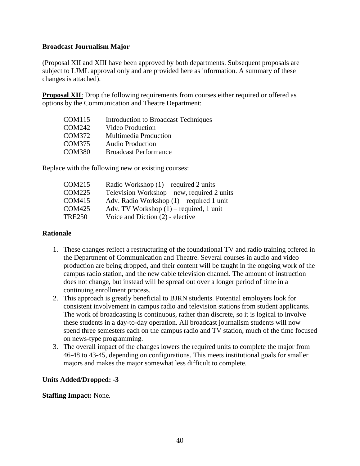### **Broadcast Journalism Major**

(Proposal XII and XIII have been approved by both departments. Subsequent proposals are subject to LJML approval only and are provided here as information. A summary of these changes is attached).

**Proposal XII**: Drop the following requirements from courses either required or offered as options by the Communication and Theatre Department:

| COM115        | <b>Introduction to Broadcast Techniques</b> |
|---------------|---------------------------------------------|
| COM242        | Video Production                            |
| <b>COM372</b> | Multimedia Production                       |
| <b>COM375</b> | <b>Audio Production</b>                     |
| <b>COM380</b> | <b>Broadcast Performance</b>                |

Replace with the following new or existing courses:

| <b>COM215</b> | Radio Workshop $(1)$ – required 2 units     |
|---------------|---------------------------------------------|
| <b>COM225</b> | Television Workshop – new, required 2 units |
| <b>COM415</b> | Adv. Radio Workshop $(1)$ – required 1 unit |
| <b>COM425</b> | Adv. TV Workshop $(1)$ – required, 1 unit   |
| <b>TRE250</b> | Voice and Diction (2) - elective            |

#### **Rationale**

- 1. These changes reflect a restructuring of the foundational TV and radio training offered in the Department of Communication and Theatre. Several courses in audio and video production are being dropped, and their content will be taught in the ongoing work of the campus radio station, and the new cable television channel. The amount of instruction does not change, but instead will be spread out over a longer period of time in a continuing enrollment process.
- 2. This approach is greatly beneficial to BJRN students. Potential employers look for consistent involvement in campus radio and television stations from student applicants. The work of broadcasting is continuous, rather than discrete, so it is logical to involve these students in a day-to-day operation. All broadcast journalism students will now spend three semesters each on the campus radio and TV station, much of the time focused on news-type programming.
- 3. The overall impact of the changes lowers the required units to complete the major from 46-48 to 43-45, depending on configurations. This meets institutional goals for smaller majors and makes the major somewhat less difficult to complete.

# **Units Added/Dropped: -3**

**Staffing Impact:** None.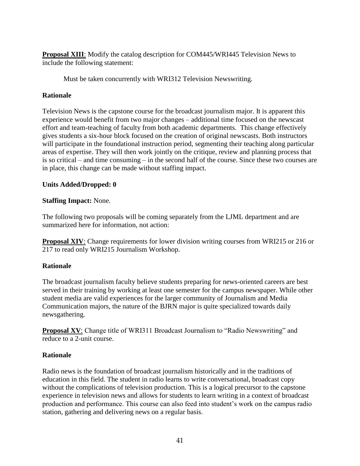**Proposal XIII**: Modify the catalog description for COM445/WRI445 Television News to include the following statement:

Must be taken concurrently with WRI312 Television Newswriting.

# **Rationale**

Television News is the capstone course for the broadcast journalism major. It is apparent this experience would benefit from two major changes – additional time focused on the newscast effort and team-teaching of faculty from both academic departments. This change effectively gives students a six-hour block focused on the creation of original newscasts. Both instructors will participate in the foundational instruction period, segmenting their teaching along particular areas of expertise. They will then work jointly on the critique, review and planning process that is so critical – and time consuming – in the second half of the course. Since these two courses are in place, this change can be made without staffing impact.

### **Units Added/Dropped: 0**

### **Staffing Impact:** None.

The following two proposals will be coming separately from the LJML department and are summarized here for information, not action:

**Proposal XIV:** Change requirements for lower division writing courses from WRI215 or 216 or 217 to read only WRI215 Journalism Workshop.

# **Rationale**

The broadcast journalism faculty believe students preparing for news-oriented careers are best served in their training by working at least one semester for the campus newspaper. While other student media are valid experiences for the larger community of Journalism and Media Communication majors, the nature of the BJRN major is quite specialized towards daily newsgathering.

**Proposal XV**: Change title of WRI311 Broadcast Journalism to "Radio Newswriting" and reduce to a 2-unit course.

#### **Rationale**

Radio news is the foundation of broadcast journalism historically and in the traditions of education in this field. The student in radio learns to write conversational, broadcast copy without the complications of television production. This is a logical precursor to the capstone experience in television news and allows for students to learn writing in a context of broadcast production and performance. This course can also feed into student's work on the campus radio station, gathering and delivering news on a regular basis.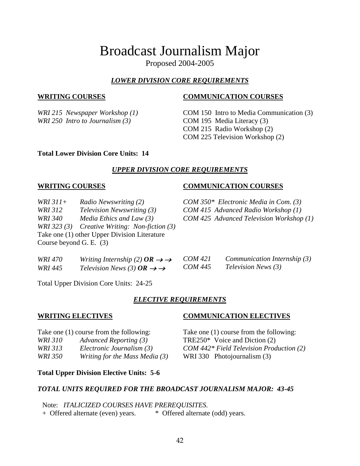# Broadcast Journalism Major

Proposed 2004-2005

# *LOWER DIVISION CORE REQUIREMENTS*

*WRI 215 Newspaper Workshop (1) WRI 250 Intro to Journalism (3)*

# **WRITING COURSES COMMUNICATION COURSES**

COM 150 Intro to Media Communication (3) COM 195 Media Literacy (3) COM 215 Radio Workshop (2) COM 225 Television Workshop (2)

#### **Total Lower Division Core Units: 14**

# *UPPER DIVISION CORE REQUIREMENTS*

*WRI 311+ Radio Newswriting (2) WRI 312 Television Newswriting (3) WRI 340 Media Ethics and Law (3) WRI 323 (3) Creative Writing: Non-fiction (3)* Take one (1) other Upper Division Literature Course beyond G. E. (3)

#### **WRITING COURSES COMMUNICATION COURSES**

*COM 350\* Electronic Media in Com. (3) COM 415 Advanced Radio Workshop (1) COM 425 Advanced Television Workshop (1)*

| WRI 470 | Writing Internship (2) $OR \rightarrow \rightarrow$ | <i>COM 421</i> | Communication Internship (3) |
|---------|-----------------------------------------------------|----------------|------------------------------|
| WRI 445 | Television News (3) $OR \rightarrow \rightarrow$    | <i>COM 445</i> | <i>Television News</i> (3)   |

Total Upper Division Core Units: 24-25

# *ELECTIVE REQUIREMENTS*

Take one (1) course from the following: *WRI 310 Advanced Reporting (3) WRI 313 Electronic Journalism (3) WRI 350 Writing for the Mass Media (3)*

# **WRITING ELECTIVES COMMUNICATION ELECTIVES**

Take one (1) course from the following: TRE250\* Voice and Diction (2) *COM 442\* Field Television Production (2)* WRI 330 Photojournalism (3)

**Total Upper Division Elective Units: 5-6**

#### *TOTAL UNITS REQUIRED FOR THE BROADCAST JOURNALISM MAJOR: 43-45*

Note: *ITALICIZED COURSES HAVE PREREQUISITES.*

+ Offered alternate (even) years. \* Offered alternate (odd) years.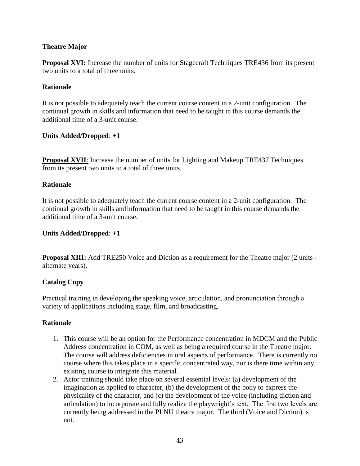# **Theatre Major**

**Proposal XVI:** Increase the number of units for Stagecraft Techniques TRE436 from its present two units to a total of three units.

# **Rationale**

It is not possible to adequately teach the current course content in a 2-unit configuration. The continual growth in skills and information that need to be taught in this course demands the additional time of a 3-unit course.

# **Units Added/Dropped**: **+1**

**Proposal XVII**: Increase the number of units for Lighting and Makeup TRE437 Techniques from its present two units to a total of three units.

# **Rationale**

It is not possible to adequately teach the current course content in a 2-unit configuration. The continual growth in skills and information that need to be taught in this course demands the additional time of a 3-unit course.

# **Units Added/Dropped**: **+1**

**Proposal XIII:** Add TRE250 Voice and Diction as a requirement for the Theatre major (2 units alternate years).

# **Catalog Copy**

Practical training in developing the speaking voice, articulation, and pronunciation through a variety of applications including stage, film, and broadcasting.

# **Rationale**

- 1. This course will be an option for the Performance concentration in MDCM and the Public Address concentration in COM, as well as being a required course in the Theatre major. The course will address deficiencies in oral aspects of performance. There is currently no course where this takes place in a specific concentrated way, nor is there time within any existing course to integrate this material.
- 2. Actor training should take place on several essential levels: (a) development of the imagination as applied to character, (b) the development of the body to express the physicality of the character, and (c) the development of the voice (including diction and articulation) to incorporate and fully realize the playwright's text. The first two levels are currently being addressed in the PLNU theatre major. The third (Voice and Diction) is not.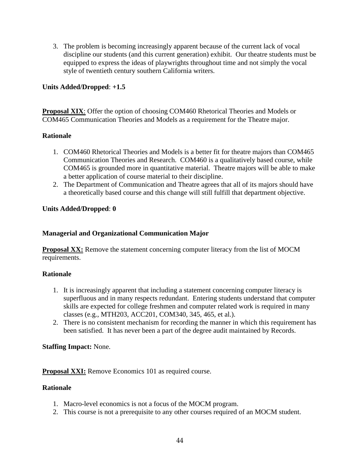3. The problem is becoming increasingly apparent because of the current lack of vocal discipline our students (and this current generation) exhibit. Our theatre students must be equipped to express the ideas of playwrights throughout time and not simply the vocal style of twentieth century southern California writers.

# **Units Added/Dropped**: **+1.5**

**Proposal XIX**: Offer the option of choosing COM460 Rhetorical Theories and Models or COM465 Communication Theories and Models as a requirement for the Theatre major.

# **Rationale**

- 1. COM460 Rhetorical Theories and Models is a better fit for theatre majors than COM465 Communication Theories and Research. COM460 is a qualitatively based course, while COM465 is grounded more in quantitative material. Theatre majors will be able to make a better application of course material to their discipline.
- 2. The Department of Communication and Theatre agrees that all of its majors should have a theoretically based course and this change will still fulfill that department objective.

# **Units Added/Dropped**: **0**

# **Managerial and Organizational Communication Major**

**Proposal XX:** Remove the statement concerning computer literacy from the list of MOCM requirements.

# **Rationale**

- 1. It is increasingly apparent that including a statement concerning computer literacy is superfluous and in many respects redundant. Entering students understand that computer skills are expected for college freshmen and computer related work is required in many classes (e.g., MTH203, ACC201, COM340, 345, 465, et al.).
- 2. There is no consistent mechanism for recording the manner in which this requirement has been satisfied. It has never been a part of the degree audit maintained by Records.

# **Staffing Impact:** None.

**Proposal XXI:** Remove Economics 101 as required course.

# **Rationale**

- 1. Macro-level economics is not a focus of the MOCM program.
- 2. This course is not a prerequisite to any other courses required of an MOCM student.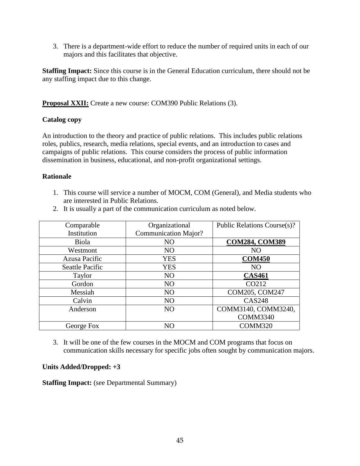3. There is a department-wide effort to reduce the number of required units in each of our majors and this facilitates that objective.

**Staffing Impact:** Since this course is in the General Education curriculum, there should not be any staffing impact due to this change.

**Proposal XXII:** Create a new course: COM390 Public Relations (3).

### **Catalog copy**

An introduction to the theory and practice of public relations. This includes public relations roles, publics, research, media relations, special events, and an introduction to cases and campaigns of public relations. This course considers the process of public information dissemination in business, educational, and non-profit organizational settings.

### **Rationale**

1. This course will service a number of MOCM, COM (General), and Media students who are interested in Public Relations.

| Comparable             | Organizational              | Public Relations Course(s)? |
|------------------------|-----------------------------|-----------------------------|
| Institution            | <b>Communication Major?</b> |                             |
| Biola                  | N <sub>O</sub>              | <b>COM284, COM389</b>       |
| Westmont               | N <sub>O</sub>              | NO                          |
| Azusa Pacific          | <b>YES</b>                  | <b>COM450</b>               |
| <b>Seattle Pacific</b> | <b>YES</b>                  | NO                          |
| Taylor                 | N <sub>O</sub>              | <b>CAS461</b>               |
| Gordon                 | N <sub>O</sub>              | CO212                       |
| Messiah                | N <sub>O</sub>              | COM205, COM247              |
| Calvin                 | N <sub>O</sub>              | <b>CAS248</b>               |
| Anderson               | N <sub>O</sub>              | COMM3140, COMM3240,         |
|                        |                             | <b>COMM3340</b>             |
| George Fox             |                             | COMM320                     |

2. It is usually a part of the communication curriculum as noted below.

3. It will be one of the few courses in the MOCM and COM programs that focus on communication skills necessary for specific jobs often sought by communication majors.

#### **Units Added/Dropped: +3**

**Staffing Impact:** (see Departmental Summary)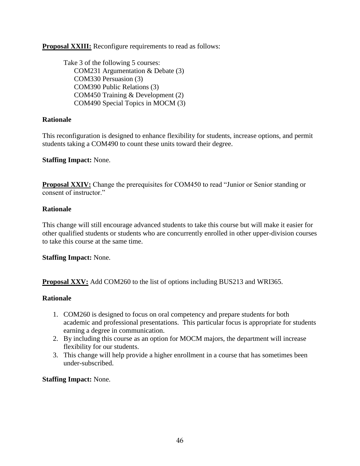**Proposal XXIII:** Reconfigure requirements to read as follows:

Take 3 of the following 5 courses: COM231 Argumentation & Debate (3) COM330 Persuasion (3) COM390 Public Relations (3) COM450 Training & Development (2) COM490 Special Topics in MOCM (3)

# **Rationale**

This reconfiguration is designed to enhance flexibility for students, increase options, and permit students taking a COM490 to count these units toward their degree.

#### **Staffing Impact:** None.

**Proposal XXIV:** Change the prerequisites for COM450 to read "Junior or Senior standing or consent of instructor."

### **Rationale**

This change will still encourage advanced students to take this course but will make it easier for other qualified students or students who are concurrently enrolled in other upper-division courses to take this course at the same time.

#### **Staffing Impact:** None.

**Proposal XXV:** Add COM260 to the list of options including BUS213 and WRI365.

#### **Rationale**

- 1. COM260 is designed to focus on oral competency and prepare students for both academic and professional presentations. This particular focus is appropriate for students earning a degree in communication.
- 2. By including this course as an option for MOCM majors, the department will increase flexibility for our students.
- 3. This change will help provide a higher enrollment in a course that has sometimes been under-subscribed.

#### **Staffing Impact:** None.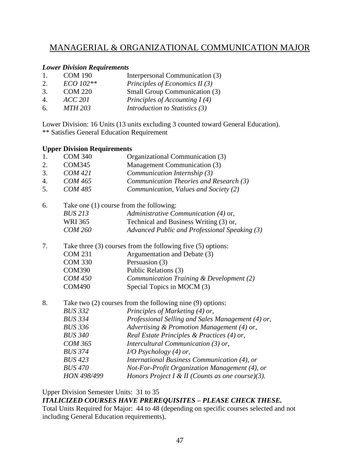# MANAGERIAL & ORGANIZATIONAL COMMUNICATION MAJOR

# *Lower Division Requirements*

| $\mathbf{1}$ . | <b>COM 190</b> | Interpersonal Communication (3)      |
|----------------|----------------|--------------------------------------|
| 2.             | ECO 102**      | Principles of Economics II $(3)$     |
| 3.             | <b>COM 220</b> | <b>Small Group Communication (3)</b> |
| 4.             | ACC 201        | Principles of Accounting $I(4)$      |
| 6.             | <b>MTH 203</b> | Introduction to Statistics (3)       |

Lower Division: 16 Units (13 units excluding 3 counted toward General Education). \*\* Satisfies General Education Requirement

#### **Upper Division Requirements**

| - 17 |                                                                 |                                                   |  |
|------|-----------------------------------------------------------------|---------------------------------------------------|--|
| 1.   | <b>COM 340</b>                                                  | Organizational Communication (3)                  |  |
| 2.   | <b>COM345</b>                                                   | Management Communication (3)                      |  |
| 3.   | <b>COM 421</b>                                                  | Communication Internship (3)                      |  |
| 4.   | <b>COM 465</b>                                                  | Communication Theories and Research (3)           |  |
| 5.   | <b>COM 485</b>                                                  | Communication, Values and Society (2)             |  |
| 6.   | Take one (1) course from the following:                         |                                                   |  |
|      | <b>BUS 213</b>                                                  | Administrative Communication (4) or,              |  |
|      | WRI 365                                                         | Technical and Business Writing (3) or,            |  |
|      | <b>COM 260</b>                                                  | Advanced Public and Professional Speaking (3)     |  |
| 7.   | Take three $(3)$ courses from the following five $(5)$ options: |                                                   |  |
|      | <b>COM 231</b>                                                  | Argumentation and Debate (3)                      |  |
|      | <b>COM 330</b>                                                  | Persuasion (3)                                    |  |
|      | <b>COM390</b>                                                   | Public Relations (3)                              |  |
|      | <b>COM 450</b>                                                  | Communication Training & Development (2)          |  |
|      | <b>COM490</b>                                                   | Special Topics in MOCM (3)                        |  |
| 8.   | Take two $(2)$ courses from the following nine $(9)$ options:   |                                                   |  |
|      | <b>BUS 332</b>                                                  | Principles of Marketing (4) or,                   |  |
|      | <b>BUS 334</b>                                                  | Professional Selling and Sales Management (4) or, |  |
|      | <b>BUS 336</b>                                                  | Advertising & Promotion Management (4) or,        |  |
|      | <b>BUS 340</b>                                                  | Real Estate Principles & Practices (4) or,        |  |
|      | <b>COM 365</b>                                                  | Intercultural Communication $(3)$ or,             |  |
|      | <b>BUS 374</b>                                                  | $I/O$ Psychology (4) or,                          |  |
|      | <b>BUS 423</b>                                                  | International Business Communication (4), or      |  |
|      | <b>BUS 470</b>                                                  | Not-For-Profit Organization Management (4), or    |  |
|      | HON 498/499                                                     | Honors Project I & II (Counts as one course)(3).  |  |
|      |                                                                 |                                                   |  |

Upper Division Semester Units: 31 to 35

*ITALICIZED COURSES HAVE PREREQUISITES – PLEASE CHECK THESE.* Total Units Required for Major: 44 to 48 (depending on specific courses selected and not including General Education requirements).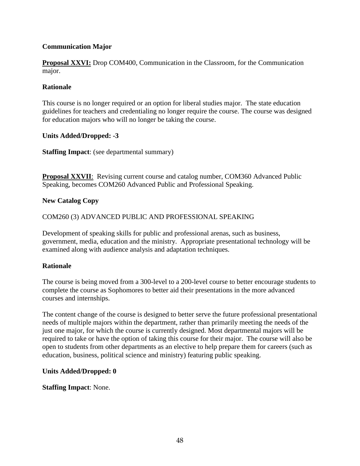# **Communication Major**

**Proposal XXVI:** Drop COM400, Communication in the Classroom, for the Communication major.

#### **Rationale**

This course is no longer required or an option for liberal studies major. The state education guidelines for teachers and credentialing no longer require the course. The course was designed for education majors who will no longer be taking the course.

#### **Units Added/Dropped: -3**

**Staffing Impact**: (see departmental summary)

**Proposal XXVII**: Revising current course and catalog number, COM360 Advanced Public Speaking, becomes COM260 Advanced Public and Professional Speaking.

#### **New Catalog Copy**

#### COM260 (3) ADVANCED PUBLIC AND PROFESSIONAL SPEAKING

Development of speaking skills for public and professional arenas, such as business, government, media, education and the ministry. Appropriate presentational technology will be examined along with audience analysis and adaptation techniques.

#### **Rationale**

The course is being moved from a 300-level to a 200-level course to better encourage students to complete the course as Sophomores to better aid their presentations in the more advanced courses and internships.

The content change of the course is designed to better serve the future professional presentational needs of multiple majors within the department, rather than primarily meeting the needs of the just one major, for which the course is currently designed. Most departmental majors will be required to take or have the option of taking this course for their major. The course will also be open to students from other departments as an elective to help prepare them for careers (such as education, business, political science and ministry) featuring public speaking.

#### **Units Added/Dropped: 0**

**Staffing Impact**: None.